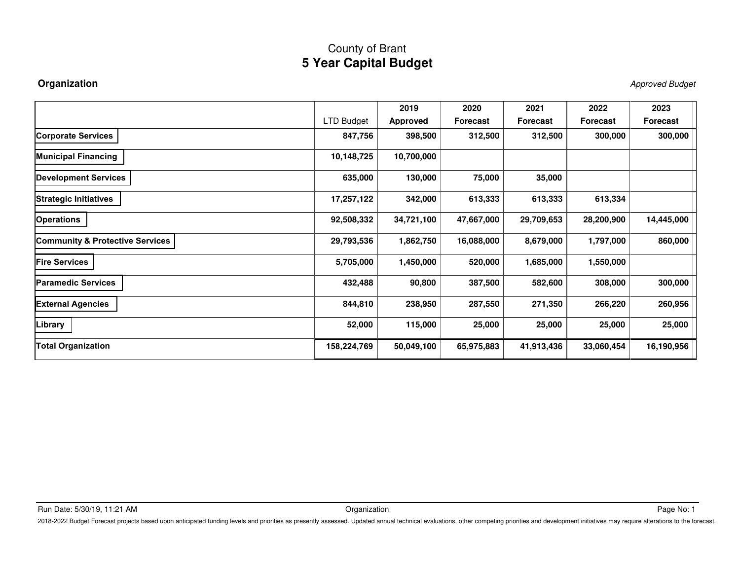**Organization** Approved Budget

|                                            |                   | 2019       | 2020            | 2021            | 2022            | 2023            |
|--------------------------------------------|-------------------|------------|-----------------|-----------------|-----------------|-----------------|
|                                            | <b>LTD Budget</b> | Approved   | <b>Forecast</b> | <b>Forecast</b> | <b>Forecast</b> | <b>Forecast</b> |
| <b>Corporate Services</b>                  | 847,756           | 398,500    | 312,500         | 312,500         | 300,000         | 300,000         |
| <b>Municipal Financing</b>                 | 10,148,725        | 10,700,000 |                 |                 |                 |                 |
| <b>Development Services</b>                | 635,000           | 130,000    | 75,000          | 35,000          |                 |                 |
| <b>Strategic Initiatives</b>               | 17,257,122        | 342,000    | 613,333         | 613,333         | 613,334         |                 |
| <b>Operations</b>                          | 92,508,332        | 34,721,100 | 47,667,000      | 29,709,653      | 28,200,900      | 14,445,000      |
| <b>Community &amp; Protective Services</b> | 29,793,536        | 1,862,750  | 16,088,000      | 8,679,000       | 1,797,000       | 860,000         |
| <b>Fire Services</b>                       | 5,705,000         | 1,450,000  | 520,000         | 1,685,000       | 1,550,000       |                 |
| <b>Paramedic Services</b>                  | 432,488           | 90,800     | 387,500         | 582,600         | 308,000         | 300,000         |
| <b>External Agencies</b>                   | 844,810           | 238,950    | 287,550         | 271,350         | 266,220         | 260,956         |
| Library                                    | 52,000            | 115,000    | 25,000          | 25,000          | 25,000          | 25,000          |
| <b>Total Organization</b>                  | 158,224,769       | 50,049,100 | 65,975,883      | 41,913,436      | 33,060,454      | 16,190,956      |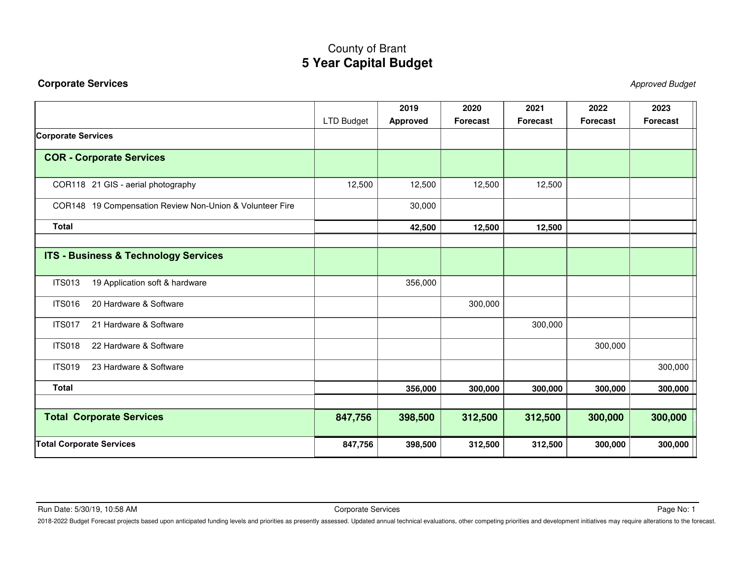### <span id="page-1-0"></span>**Corporate Services** Approved Budget

|                                                          |                   | 2019            | 2020            | 2021            | 2022            | 2023            |
|----------------------------------------------------------|-------------------|-----------------|-----------------|-----------------|-----------------|-----------------|
|                                                          | <b>LTD Budget</b> | <b>Approved</b> | <b>Forecast</b> | <b>Forecast</b> | <b>Forecast</b> | <b>Forecast</b> |
| <b>Corporate Services</b>                                |                   |                 |                 |                 |                 |                 |
| <b>COR - Corporate Services</b>                          |                   |                 |                 |                 |                 |                 |
| COR118 21 GIS - aerial photography                       | 12,500            | 12,500          | 12,500          | 12,500          |                 |                 |
| COR148 19 Compensation Review Non-Union & Volunteer Fire |                   | 30,000          |                 |                 |                 |                 |
| <b>Total</b>                                             |                   | 42,500          | 12,500          | 12,500          |                 |                 |
|                                                          |                   |                 |                 |                 |                 |                 |
| <b>ITS - Business &amp; Technology Services</b>          |                   |                 |                 |                 |                 |                 |
| <b>ITS013</b><br>19 Application soft & hardware          |                   | 356,000         |                 |                 |                 |                 |
| 20 Hardware & Software<br><b>ITS016</b>                  |                   |                 | 300,000         |                 |                 |                 |
| <b>ITS017</b><br>21 Hardware & Software                  |                   |                 |                 | 300,000         |                 |                 |
| <b>ITS018</b><br>22 Hardware & Software                  |                   |                 |                 |                 | 300,000         |                 |
| <b>ITS019</b><br>23 Hardware & Software                  |                   |                 |                 |                 |                 | 300,000         |
| <b>Total</b>                                             |                   | 356,000         | 300,000         | 300,000         | 300,000         | 300,000         |
| <b>Total Corporate Services</b>                          | 847,756           | 398,500         | 312,500         | 312,500         | 300,000         | 300,000         |
| <b>Total Corporate Services</b>                          | 847,756           | 398,500         | 312,500         | 312,500         | 300,000         | 300,000         |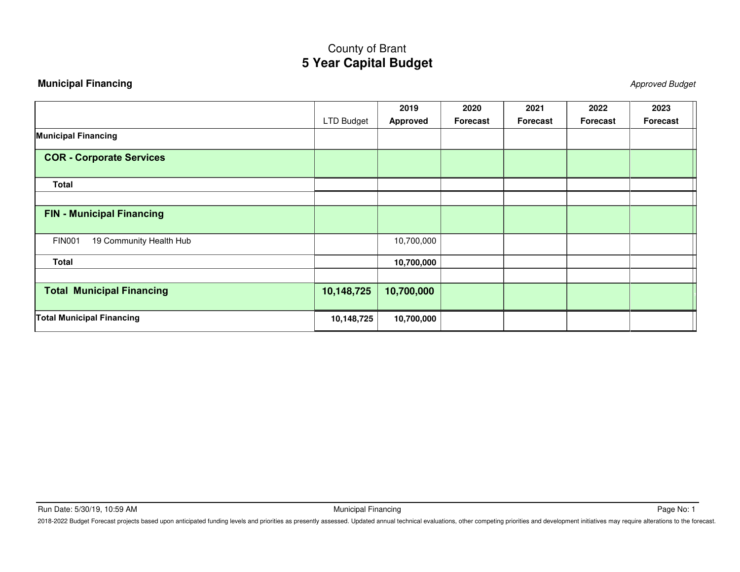### <span id="page-2-0"></span>**Municipal Financing** Approved Budget

|                                          |                   | 2019            | 2020     | 2021            | 2022     | 2023     |
|------------------------------------------|-------------------|-----------------|----------|-----------------|----------|----------|
|                                          | <b>LTD Budget</b> | <b>Approved</b> | Forecast | <b>Forecast</b> | Forecast | Forecast |
| <b>Municipal Financing</b>               |                   |                 |          |                 |          |          |
| <b>COR - Corporate Services</b>          |                   |                 |          |                 |          |          |
| <b>Total</b>                             |                   |                 |          |                 |          |          |
|                                          |                   |                 |          |                 |          |          |
| <b>FIN - Municipal Financing</b>         |                   |                 |          |                 |          |          |
| <b>FIN001</b><br>19 Community Health Hub |                   | 10,700,000      |          |                 |          |          |
| <b>Total</b>                             |                   | 10,700,000      |          |                 |          |          |
|                                          |                   |                 |          |                 |          |          |
| <b>Total Municipal Financing</b>         | 10,148,725        | 10,700,000      |          |                 |          |          |
| <b>Total Municipal Financing</b>         | 10,148,725        | 10,700,000      |          |                 |          |          |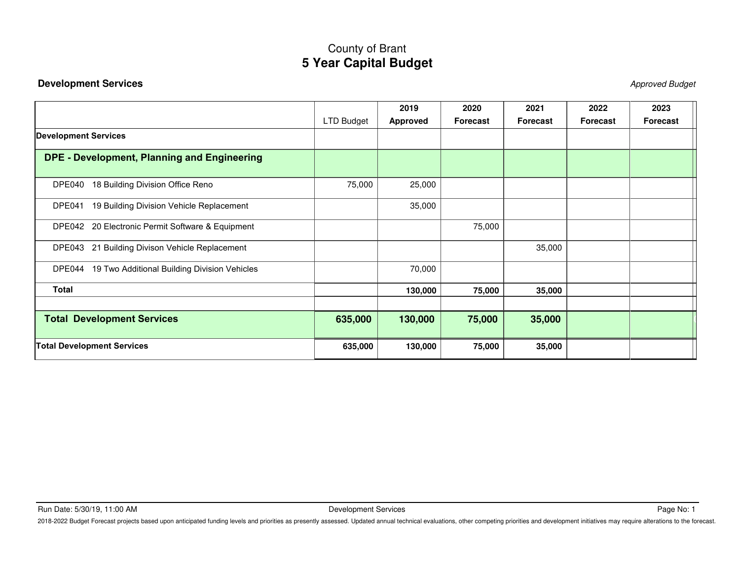### <span id="page-3-0"></span>**Development Services** Approved Budget

|                                                        |            | 2019     | 2020            | 2021     | 2022     | 2023            |
|--------------------------------------------------------|------------|----------|-----------------|----------|----------|-----------------|
|                                                        | LTD Budget | Approved | <b>Forecast</b> | Forecast | Forecast | <b>Forecast</b> |
| <b>Development Services</b>                            |            |          |                 |          |          |                 |
| <b>DPE - Development, Planning and Engineering</b>     |            |          |                 |          |          |                 |
| 18 Building Division Office Reno<br>DPE040             | 75,000     | 25,000   |                 |          |          |                 |
| 19 Building Division Vehicle Replacement<br>DPE041     |            | 35,000   |                 |          |          |                 |
| DPE042 20 Electronic Permit Software & Equipment       |            |          | 75,000          |          |          |                 |
| DPE043 21 Building Divison Vehicle Replacement         |            |          |                 | 35,000   |          |                 |
| 19 Two Additional Building Division Vehicles<br>DPE044 |            | 70,000   |                 |          |          |                 |
| <b>Total</b>                                           |            | 130,000  | 75,000          | 35,000   |          |                 |
|                                                        |            |          |                 |          |          |                 |
| <b>Total Development Services</b>                      | 635,000    | 130,000  | 75,000          | 35,000   |          |                 |
| <b>Total Development Services</b>                      | 635,000    | 130,000  | 75,000          | 35,000   |          |                 |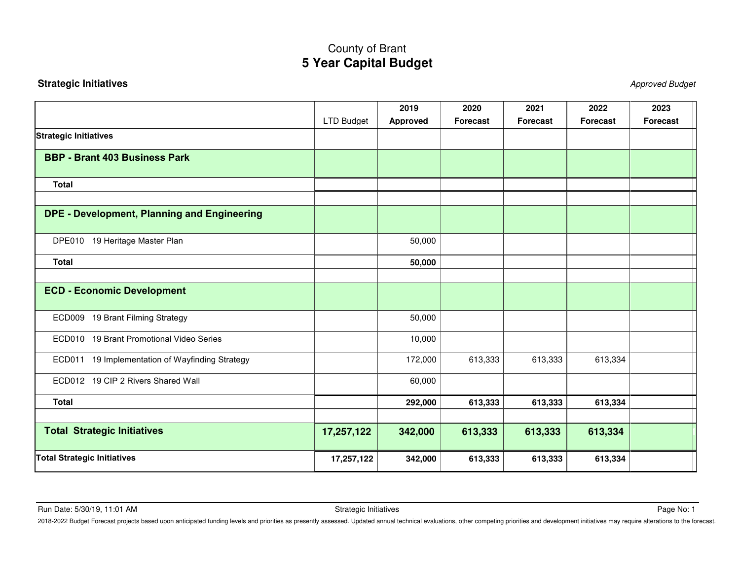### <span id="page-4-0"></span>**Strategic Initiatives** Approved Budget

|                                                    |            | 2019     | 2020            | 2021            | 2022            | 2023            |
|----------------------------------------------------|------------|----------|-----------------|-----------------|-----------------|-----------------|
|                                                    | LTD Budget | Approved | <b>Forecast</b> | <b>Forecast</b> | <b>Forecast</b> | <b>Forecast</b> |
| <b>Strategic Initiatives</b>                       |            |          |                 |                 |                 |                 |
| <b>BBP - Brant 403 Business Park</b>               |            |          |                 |                 |                 |                 |
| <b>Total</b>                                       |            |          |                 |                 |                 |                 |
| <b>DPE - Development, Planning and Engineering</b> |            |          |                 |                 |                 |                 |
| DPE010 19 Heritage Master Plan                     |            | 50,000   |                 |                 |                 |                 |
| <b>Total</b>                                       |            | 50,000   |                 |                 |                 |                 |
|                                                    |            |          |                 |                 |                 |                 |
| <b>ECD - Economic Development</b>                  |            |          |                 |                 |                 |                 |
| ECD009 19 Brant Filming Strategy                   |            | 50,000   |                 |                 |                 |                 |
| ECD010 19 Brant Promotional Video Series           |            | 10,000   |                 |                 |                 |                 |
| ECD011 19 Implementation of Wayfinding Strategy    |            | 172,000  | 613,333         | 613,333         | 613,334         |                 |
| ECD012 19 CIP 2 Rivers Shared Wall                 |            | 60,000   |                 |                 |                 |                 |
| <b>Total</b>                                       |            | 292,000  | 613,333         | 613,333         | 613,334         |                 |
| <b>Total Strategic Initiatives</b>                 | 17,257,122 | 342,000  | 613,333         | 613,333         | 613,334         |                 |
| <b>Total Strategic Initiatives</b>                 | 17,257,122 | 342,000  | 613,333         | 613,333         | 613,334         |                 |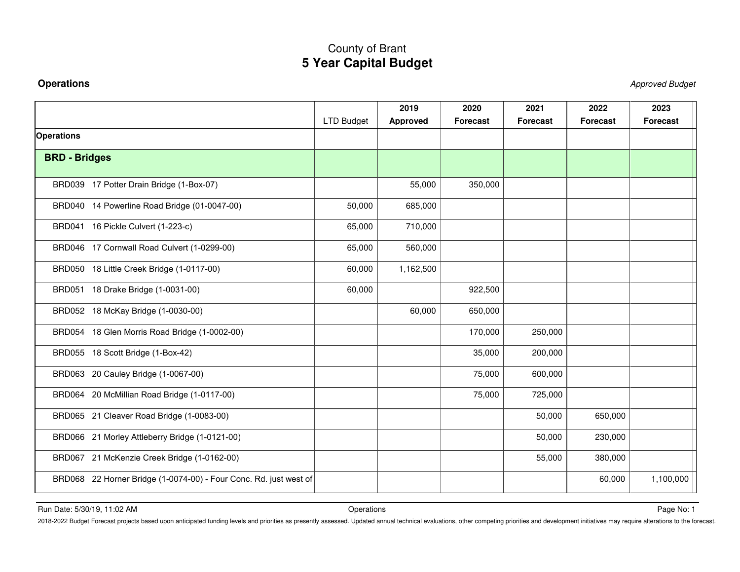<span id="page-5-0"></span>**Operations** Approved Budget

|                                                                   |                   | 2019            | 2020            | 2021            | 2022            | 2023            |
|-------------------------------------------------------------------|-------------------|-----------------|-----------------|-----------------|-----------------|-----------------|
|                                                                   | <b>LTD Budget</b> | <b>Approved</b> | <b>Forecast</b> | <b>Forecast</b> | <b>Forecast</b> | <b>Forecast</b> |
| <b>Operations</b>                                                 |                   |                 |                 |                 |                 |                 |
| <b>BRD - Bridges</b>                                              |                   |                 |                 |                 |                 |                 |
| BRD039 17 Potter Drain Bridge (1-Box-07)                          |                   | 55,000          | 350,000         |                 |                 |                 |
| BRD040 14 Powerline Road Bridge (01-0047-00)                      | 50,000            | 685,000         |                 |                 |                 |                 |
| BRD041 16 Pickle Culvert (1-223-c)                                | 65,000            | 710,000         |                 |                 |                 |                 |
| BRD046 17 Cornwall Road Culvert (1-0299-00)                       | 65,000            | 560,000         |                 |                 |                 |                 |
| BRD050 18 Little Creek Bridge (1-0117-00)                         | 60,000            | 1,162,500       |                 |                 |                 |                 |
| BRD051 18 Drake Bridge (1-0031-00)                                | 60,000            |                 | 922,500         |                 |                 |                 |
| BRD052 18 McKay Bridge (1-0030-00)                                |                   | 60,000          | 650,000         |                 |                 |                 |
| BRD054 18 Glen Morris Road Bridge (1-0002-00)                     |                   |                 | 170,000         | 250,000         |                 |                 |
| BRD055 18 Scott Bridge (1-Box-42)                                 |                   |                 | 35,000          | 200,000         |                 |                 |
| BRD063 20 Cauley Bridge (1-0067-00)                               |                   |                 | 75,000          | 600,000         |                 |                 |
| BRD064 20 McMillian Road Bridge (1-0117-00)                       |                   |                 | 75,000          | 725,000         |                 |                 |
| BRD065 21 Cleaver Road Bridge (1-0083-00)                         |                   |                 |                 | 50,000          | 650,000         |                 |
| BRD066 21 Morley Attleberry Bridge (1-0121-00)                    |                   |                 |                 | 50,000          | 230,000         |                 |
| BRD067 21 McKenzie Creek Bridge (1-0162-00)                       |                   |                 |                 | 55,000          | 380,000         |                 |
| BRD068 22 Horner Bridge (1-0074-00) - Four Conc. Rd. just west of |                   |                 |                 |                 | 60,000          | 1,100,000       |

Run Date: 5/30/19, 11:02 AM Page No: 1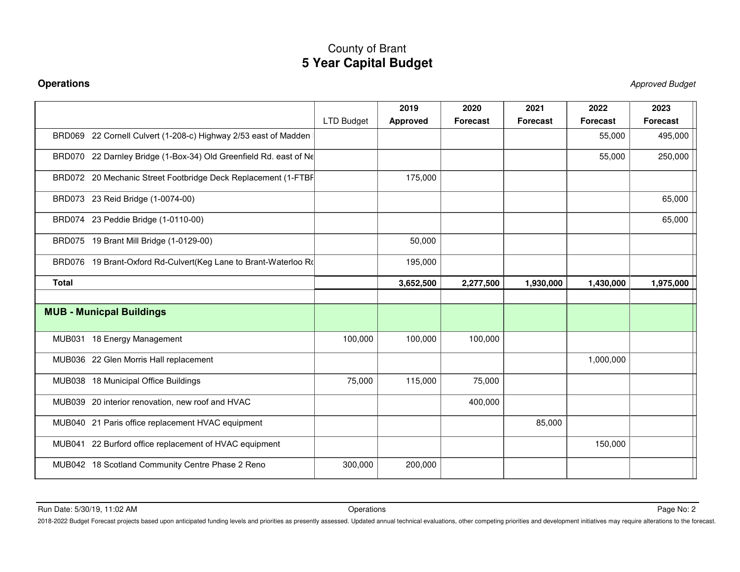**Operations** Approved Budget

|                                                                   |                   | 2019            | 2020            | 2021            | 2022            | 2023            |
|-------------------------------------------------------------------|-------------------|-----------------|-----------------|-----------------|-----------------|-----------------|
|                                                                   | <b>LTD Budget</b> | <b>Approved</b> | <b>Forecast</b> | <b>Forecast</b> | <b>Forecast</b> | <b>Forecast</b> |
| BRD069 22 Cornell Culvert (1-208-c) Highway 2/53 east of Madden   |                   |                 |                 |                 | 55,000          | 495,000         |
| BRD070 22 Darnley Bridge (1-Box-34) Old Greenfield Rd. east of Ne |                   |                 |                 |                 | 55,000          | 250,000         |
| BRD072 20 Mechanic Street Footbridge Deck Replacement (1-FTBF     |                   | 175,000         |                 |                 |                 |                 |
| BRD073 23 Reid Bridge (1-0074-00)                                 |                   |                 |                 |                 |                 | 65,000          |
| BRD074 23 Peddie Bridge (1-0110-00)                               |                   |                 |                 |                 |                 | 65,000          |
| BRD075 19 Brant Mill Bridge (1-0129-00)                           |                   | 50,000          |                 |                 |                 |                 |
| BRD076 19 Brant-Oxford Rd-Culvert(Keg Lane to Brant-Waterloo Ro   |                   | 195,000         |                 |                 |                 |                 |
| <b>Total</b>                                                      |                   | 3,652,500       | 2,277,500       | 1,930,000       | 1,430,000       | 1,975,000       |
|                                                                   |                   |                 |                 |                 |                 |                 |
| <b>MUB - Municpal Buildings</b>                                   |                   |                 |                 |                 |                 |                 |
| MUB031 18 Energy Management                                       | 100,000           | 100,000         | 100,000         |                 |                 |                 |
| MUB036 22 Glen Morris Hall replacement                            |                   |                 |                 |                 | 1,000,000       |                 |
| MUB038 18 Municipal Office Buildings                              | 75,000            | 115,000         | 75,000          |                 |                 |                 |
| MUB039 20 interior renovation, new roof and HVAC                  |                   |                 | 400,000         |                 |                 |                 |
| MUB040 21 Paris office replacement HVAC equipment                 |                   |                 |                 | 85,000          |                 |                 |
| MUB041 22 Burford office replacement of HVAC equipment            |                   |                 |                 |                 | 150,000         |                 |
| MUB042 18 Scotland Community Centre Phase 2 Reno                  | 300,000           | 200,000         |                 |                 |                 |                 |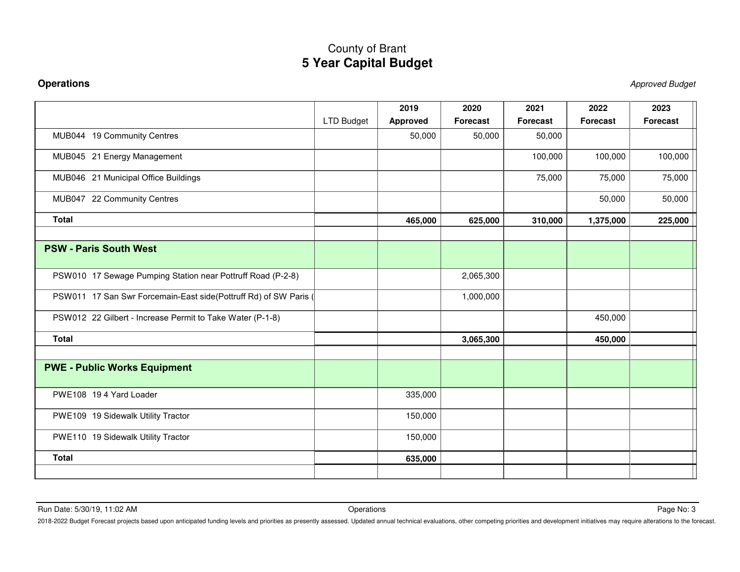**Operations** Approved Budget

|                                                                  |                   | 2019     | 2020            | 2021            | 2022      | 2023            |
|------------------------------------------------------------------|-------------------|----------|-----------------|-----------------|-----------|-----------------|
|                                                                  | <b>LTD Budget</b> | Approved | <b>Forecast</b> | <b>Forecast</b> | Forecast  | <b>Forecast</b> |
| MUB044 19 Community Centres                                      |                   | 50,000   | 50,000          | 50,000          |           |                 |
| MUB045 21 Energy Management                                      |                   |          |                 | 100,000         | 100,000   | 100,000         |
| MUB046 21 Municipal Office Buildings                             |                   |          |                 | 75,000          | 75,000    | 75,000          |
| MUB047 22 Community Centres                                      |                   |          |                 |                 | 50,000    | 50,000          |
| <b>Total</b>                                                     |                   | 465,000  | 625,000         | 310,000         | 1,375,000 | 225,000         |
|                                                                  |                   |          |                 |                 |           |                 |
| <b>PSW - Paris South West</b>                                    |                   |          |                 |                 |           |                 |
| PSW010 17 Sewage Pumping Station near Pottruff Road (P-2-8)      |                   |          | 2,065,300       |                 |           |                 |
| PSW011 17 San Swr Forcemain-East side(Pottruff Rd) of SW Paris ( |                   |          | 1,000,000       |                 |           |                 |
| PSW012 22 Gilbert - Increase Permit to Take Water (P-1-8)        |                   |          |                 |                 | 450,000   |                 |
| <b>Total</b>                                                     |                   |          | 3,065,300       |                 | 450,000   |                 |
|                                                                  |                   |          |                 |                 |           |                 |
| <b>PWE - Public Works Equipment</b>                              |                   |          |                 |                 |           |                 |
| PWE108 194 Yard Loader                                           |                   | 335,000  |                 |                 |           |                 |
| PWE109 19 Sidewalk Utility Tractor                               |                   | 150,000  |                 |                 |           |                 |
| PWE110 19 Sidewalk Utility Tractor                               |                   | 150,000  |                 |                 |           |                 |
| <b>Total</b>                                                     |                   | 635,000  |                 |                 |           |                 |
|                                                                  |                   |          |                 |                 |           |                 |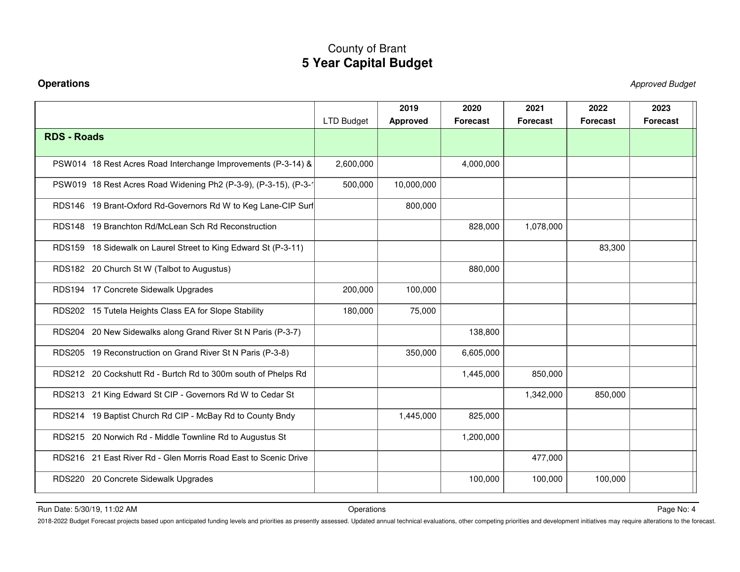**Operations** Approved Budget

|                                                                  | <b>LTD Budget</b> | 2019<br><b>Approved</b> | 2020<br><b>Forecast</b> | 2021<br><b>Forecast</b> | 2022<br><b>Forecast</b> | 2023<br><b>Forecast</b> |
|------------------------------------------------------------------|-------------------|-------------------------|-------------------------|-------------------------|-------------------------|-------------------------|
| <b>RDS - Roads</b>                                               |                   |                         |                         |                         |                         |                         |
| PSW014 18 Rest Acres Road Interchange Improvements (P-3-14) &    | 2,600,000         |                         | 4,000,000               |                         |                         |                         |
| PSW019 18 Rest Acres Road Widening Ph2 (P-3-9), (P-3-15), (P-3-1 | 500,000           | 10,000,000              |                         |                         |                         |                         |
| RDS146 19 Brant-Oxford Rd-Governors Rd W to Keg Lane-CIP Surl    |                   | 800,000                 |                         |                         |                         |                         |
| RDS148 19 Branchton Rd/McLean Sch Rd Reconstruction              |                   |                         | 828,000                 | 1,078,000               |                         |                         |
| RDS159 18 Sidewalk on Laurel Street to King Edward St (P-3-11)   |                   |                         |                         |                         | 83,300                  |                         |
| RDS182 20 Church St W (Talbot to Augustus)                       |                   |                         | 880,000                 |                         |                         |                         |
| RDS194 17 Concrete Sidewalk Upgrades                             | 200,000           | 100,000                 |                         |                         |                         |                         |
| RDS202 15 Tutela Heights Class EA for Slope Stability            | 180,000           | 75,000                  |                         |                         |                         |                         |
| RDS204 20 New Sidewalks along Grand River St N Paris (P-3-7)     |                   |                         | 138,800                 |                         |                         |                         |
| RDS205 19 Reconstruction on Grand River St N Paris (P-3-8)       |                   | 350,000                 | 6,605,000               |                         |                         |                         |
| RDS212 20 Cockshutt Rd - Burtch Rd to 300m south of Phelps Rd    |                   |                         | 1,445,000               | 850,000                 |                         |                         |
| RDS213 21 King Edward St CIP - Governors Rd W to Cedar St        |                   |                         |                         | 1,342,000               | 850,000                 |                         |
| RDS214 19 Baptist Church Rd CIP - McBay Rd to County Bndy        |                   | 1,445,000               | 825,000                 |                         |                         |                         |
| RDS215 20 Norwich Rd - Middle Townline Rd to Augustus St         |                   |                         | 1,200,000               |                         |                         |                         |
| RDS216 21 East River Rd - Glen Morris Road East to Scenic Drive  |                   |                         |                         | 477,000                 |                         |                         |
| RDS220 20 Concrete Sidewalk Upgrades                             |                   |                         | 100,000                 | 100,000                 | 100,000                 |                         |

Run Date: 5/30/19, 11:02 AM Page No: 4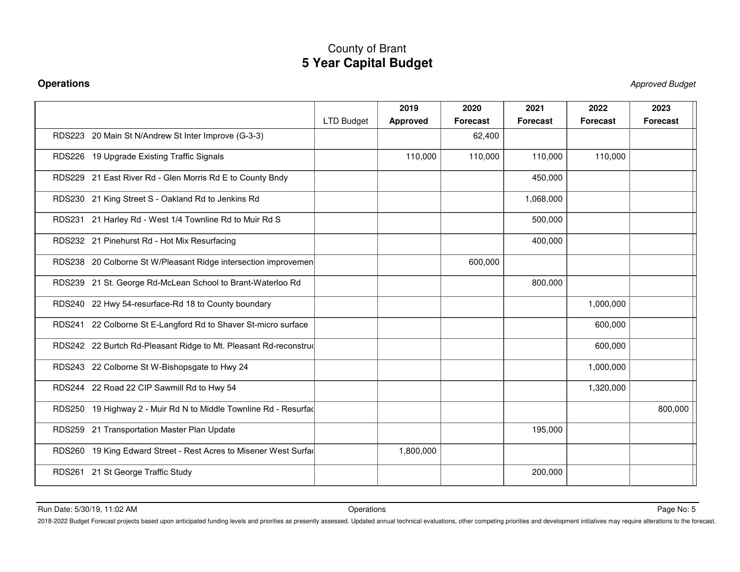**Operations** Approved Budget

|                                                                  | <b>LTD Budget</b> | 2019<br><b>Approved</b> | 2020<br><b>Forecast</b> | 2021<br><b>Forecast</b> | 2022<br><b>Forecast</b> | 2023<br><b>Forecast</b> |
|------------------------------------------------------------------|-------------------|-------------------------|-------------------------|-------------------------|-------------------------|-------------------------|
| RDS223 20 Main St N/Andrew St Inter Improve (G-3-3)              |                   |                         | 62,400                  |                         |                         |                         |
| RDS226 19 Upgrade Existing Traffic Signals                       |                   | 110,000                 | 110,000                 | 110,000                 | 110,000                 |                         |
| RDS229 21 East River Rd - Glen Morris Rd E to County Bndy        |                   |                         |                         | 450,000                 |                         |                         |
| RDS230 21 King Street S - Oakland Rd to Jenkins Rd               |                   |                         |                         | 1,068,000               |                         |                         |
| RDS231 21 Harley Rd - West 1/4 Townline Rd to Muir Rd S          |                   |                         |                         | 500,000                 |                         |                         |
| RDS232 21 Pinehurst Rd - Hot Mix Resurfacing                     |                   |                         |                         | 400,000                 |                         |                         |
| RDS238 20 Colborne St W/Pleasant Ridge intersection improvemen   |                   |                         | 600,000                 |                         |                         |                         |
| RDS239 21 St. George Rd-McLean School to Brant-Waterloo Rd       |                   |                         |                         | 800,000                 |                         |                         |
| RDS240 22 Hwy 54-resurface-Rd 18 to County boundary              |                   |                         |                         |                         | 1,000,000               |                         |
| RDS241 22 Colborne St E-Langford Rd to Shaver St-micro surface   |                   |                         |                         |                         | 600,000                 |                         |
| RDS242 22 Burtch Rd-Pleasant Ridge to Mt. Pleasant Rd-reconstruc |                   |                         |                         |                         | 600,000                 |                         |
| RDS243 22 Colborne St W-Bishopsgate to Hwy 24                    |                   |                         |                         |                         | 1,000,000               |                         |
| RDS244 22 Road 22 CIP Sawmill Rd to Hwy 54                       |                   |                         |                         |                         | 1,320,000               |                         |
| RDS250 19 Highway 2 - Muir Rd N to Middle Townline Rd - Resurfac |                   |                         |                         |                         |                         | 800,000                 |
| RDS259 21 Transportation Master Plan Update                      |                   |                         |                         | 195,000                 |                         |                         |
| RDS260 19 King Edward Street - Rest Acres to Misener West Surfac |                   | 1,800,000               |                         |                         |                         |                         |
| RDS261 21 St George Traffic Study                                |                   |                         |                         | 200,000                 |                         |                         |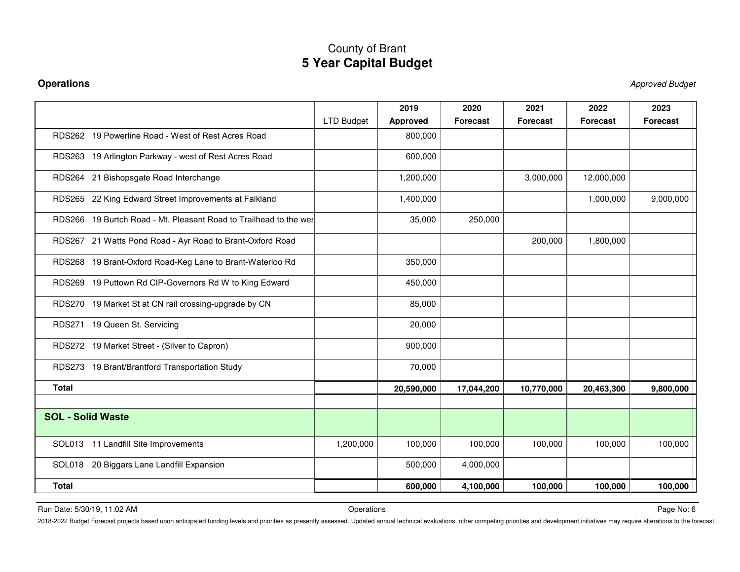**Operations** Approved Budget

|                                                                    | <b>LTD Budget</b> | 2019<br><b>Approved</b> | 2020<br><b>Forecast</b> | 2021<br><b>Forecast</b> | 2022<br><b>Forecast</b> | 2023<br><b>Forecast</b> |
|--------------------------------------------------------------------|-------------------|-------------------------|-------------------------|-------------------------|-------------------------|-------------------------|
| RDS262 19 Powerline Road - West of Rest Acres Road                 |                   | 800,000                 |                         |                         |                         |                         |
| RDS263 19 Arlington Parkway - west of Rest Acres Road              |                   | 600,000                 |                         |                         |                         |                         |
| RDS264 21 Bishopsgate Road Interchange                             |                   | 1,200,000               |                         | 3,000,000               | 12,000,000              |                         |
| RDS265 22 King Edward Street Improvements at Falkland              |                   | 1,400,000               |                         |                         | 1,000,000               | 9,000,000               |
| RDS266 19 Burtch Road - Mt. Pleasant Road to Trailhead to the west |                   | 35,000                  | 250,000                 |                         |                         |                         |
| RDS267 21 Watts Pond Road - Ayr Road to Brant-Oxford Road          |                   |                         |                         | 200,000                 | 1,800,000               |                         |
| RDS268 19 Brant-Oxford Road-Keg Lane to Brant-Waterloo Rd          |                   | 350,000                 |                         |                         |                         |                         |
| RDS269 19 Puttown Rd CIP-Governors Rd W to King Edward             |                   | 450,000                 |                         |                         |                         |                         |
| RDS270 19 Market St at CN rail crossing-upgrade by CN              |                   | 85,000                  |                         |                         |                         |                         |
| RDS271 19 Queen St. Servicing                                      |                   | 20,000                  |                         |                         |                         |                         |
| RDS272 19 Market Street - (Silver to Capron)                       |                   | 900,000                 |                         |                         |                         |                         |
| RDS273 19 Brant/Brantford Transportation Study                     |                   | 70,000                  |                         |                         |                         |                         |
| <b>Total</b>                                                       |                   | 20,590,000              | 17,044,200              | 10,770,000              | 20,463,300              | 9,800,000               |
|                                                                    |                   |                         |                         |                         |                         |                         |
| <b>SOL - Solid Waste</b>                                           |                   |                         |                         |                         |                         |                         |
| SOL013 11 Landfill Site Improvements                               | 1,200,000         | 100,000                 | 100,000                 | 100,000                 | 100,000                 | 100,000                 |
| SOL018 20 Biggars Lane Landfill Expansion                          |                   | 500,000                 | 4,000,000               |                         |                         |                         |
| <b>Total</b>                                                       |                   | 600,000                 | 4,100,000               | 100,000                 | 100,000                 | 100,000                 |

Run Date: 5/30/19, 11:02 AM Page No: 6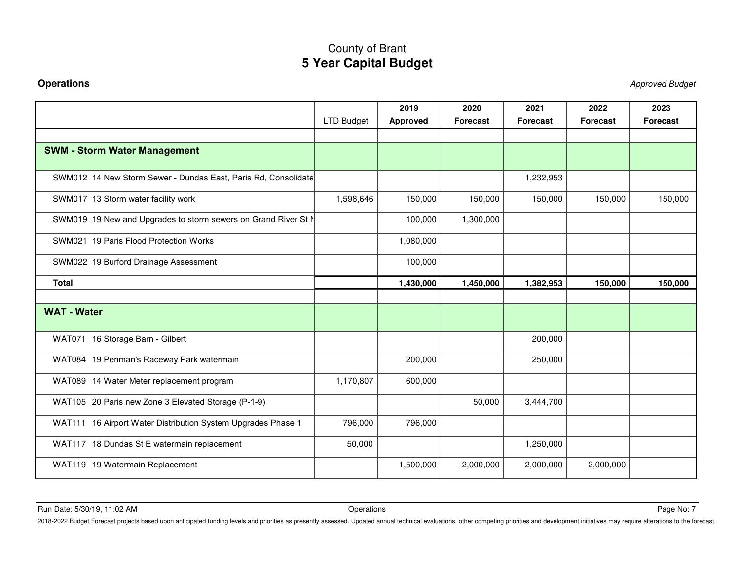**Operations** Approved Budget

|                                                                |                   | 2019            | 2020            | 2021            | 2022            | 2023            |
|----------------------------------------------------------------|-------------------|-----------------|-----------------|-----------------|-----------------|-----------------|
|                                                                | <b>LTD Budget</b> | <b>Approved</b> | <b>Forecast</b> | <b>Forecast</b> | <b>Forecast</b> | <b>Forecast</b> |
| <b>SWM - Storm Water Management</b>                            |                   |                 |                 |                 |                 |                 |
| SWM012 14 New Storm Sewer - Dundas East, Paris Rd, Consolidate |                   |                 |                 | 1,232,953       |                 |                 |
| SWM017 13 Storm water facility work                            | 1,598,646         | 150,000         | 150,000         | 150,000         | 150,000         | 150,000         |
| SWM019 19 New and Upgrades to storm sewers on Grand River St N |                   | 100,000         | 1,300,000       |                 |                 |                 |
| SWM021 19 Paris Flood Protection Works                         |                   | 1,080,000       |                 |                 |                 |                 |
| SWM022 19 Burford Drainage Assessment                          |                   | 100,000         |                 |                 |                 |                 |
| <b>Total</b>                                                   |                   | 1,430,000       | 1,450,000       | 1,382,953       | 150,000         | 150,000         |
| <b>WAT - Water</b>                                             |                   |                 |                 |                 |                 |                 |
| WAT071 16 Storage Barn - Gilbert                               |                   |                 |                 | 200,000         |                 |                 |
| WAT084 19 Penman's Raceway Park watermain                      |                   | 200,000         |                 | 250,000         |                 |                 |
| WAT089 14 Water Meter replacement program                      | 1,170,807         | 600,000         |                 |                 |                 |                 |
| WAT105 20 Paris new Zone 3 Elevated Storage (P-1-9)            |                   |                 | 50,000          | 3,444,700       |                 |                 |
| WAT111 16 Airport Water Distribution System Upgrades Phase 1   | 796,000           | 796,000         |                 |                 |                 |                 |
| WAT117 18 Dundas St E watermain replacement                    | 50,000            |                 |                 | 1,250,000       |                 |                 |
| WAT119 19 Watermain Replacement                                |                   | 1,500,000       | 2,000,000       | 2,000,000       | 2,000,000       |                 |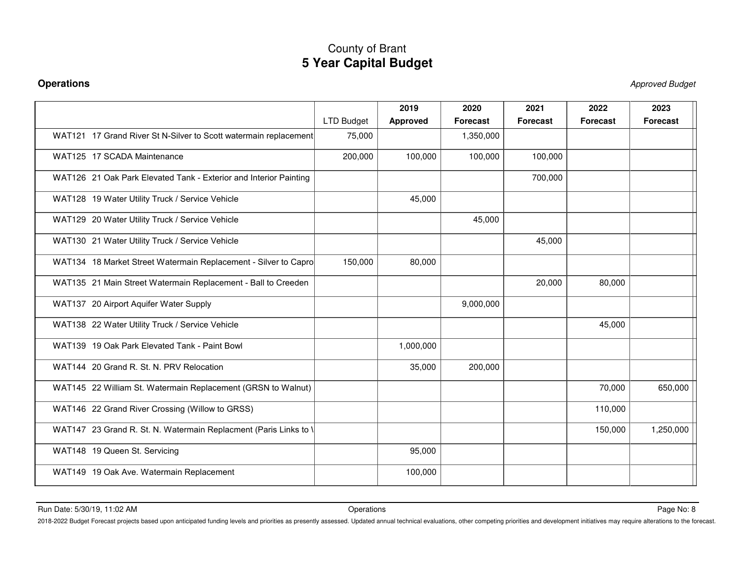**Operations** Approved Budget

|                                                                   | <b>LTD Budget</b> | 2019<br><b>Approved</b> | 2020<br>Forecast | 2021<br><b>Forecast</b> | 2022<br><b>Forecast</b> | 2023<br><b>Forecast</b> |
|-------------------------------------------------------------------|-------------------|-------------------------|------------------|-------------------------|-------------------------|-------------------------|
| WAT121 17 Grand River St N-Silver to Scott watermain replacement  | 75,000            |                         | 1,350,000        |                         |                         |                         |
| WAT125 17 SCADA Maintenance                                       | 200,000           | 100,000                 | 100,000          | 100,000                 |                         |                         |
| WAT126 21 Oak Park Elevated Tank - Exterior and Interior Painting |                   |                         |                  | 700,000                 |                         |                         |
| WAT128 19 Water Utility Truck / Service Vehicle                   |                   | 45,000                  |                  |                         |                         |                         |
| WAT129 20 Water Utility Truck / Service Vehicle                   |                   |                         | 45,000           |                         |                         |                         |
| WAT130 21 Water Utility Truck / Service Vehicle                   |                   |                         |                  | 45,000                  |                         |                         |
| WAT134 18 Market Street Watermain Replacement - Silver to Capro   | 150,000           | 80,000                  |                  |                         |                         |                         |
| WAT135 21 Main Street Watermain Replacement - Ball to Creeden     |                   |                         |                  | 20,000                  | 80,000                  |                         |
| WAT137 20 Airport Aquifer Water Supply                            |                   |                         | 9,000,000        |                         |                         |                         |
| WAT138 22 Water Utility Truck / Service Vehicle                   |                   |                         |                  |                         | 45,000                  |                         |
| WAT139 19 Oak Park Elevated Tank - Paint Bowl                     |                   | 1,000,000               |                  |                         |                         |                         |
| WAT144 20 Grand R. St. N. PRV Relocation                          |                   | 35,000                  | 200,000          |                         |                         |                         |
| WAT145 22 William St. Watermain Replacement (GRSN to Walnut)      |                   |                         |                  |                         | 70,000                  | 650,000                 |
| WAT146 22 Grand River Crossing (Willow to GRSS)                   |                   |                         |                  |                         | 110,000                 |                         |
| WAT147 23 Grand R. St. N. Watermain Replacment (Paris Links to \  |                   |                         |                  |                         | 150,000                 | 1,250,000               |
| WAT148 19 Queen St. Servicing                                     |                   | 95,000                  |                  |                         |                         |                         |
| WAT149 19 Oak Ave. Watermain Replacement                          |                   | 100,000                 |                  |                         |                         |                         |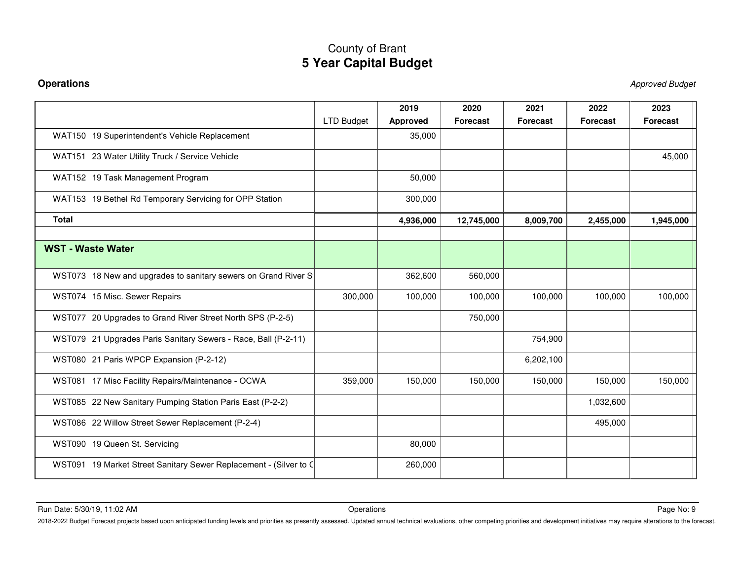**Operations** Approved Budget

|                                                                   |                   | 2019            | 2020            | 2021            | 2022            | 2023            |
|-------------------------------------------------------------------|-------------------|-----------------|-----------------|-----------------|-----------------|-----------------|
|                                                                   | <b>LTD Budget</b> | <b>Approved</b> | <b>Forecast</b> | <b>Forecast</b> | <b>Forecast</b> | <b>Forecast</b> |
| WAT150 19 Superintendent's Vehicle Replacement                    |                   | 35,000          |                 |                 |                 |                 |
| WAT151 23 Water Utility Truck / Service Vehicle                   |                   |                 |                 |                 |                 | 45,000          |
| WAT152 19 Task Management Program                                 |                   | 50,000          |                 |                 |                 |                 |
| WAT153 19 Bethel Rd Temporary Servicing for OPP Station           |                   | 300,000         |                 |                 |                 |                 |
| <b>Total</b>                                                      |                   | 4,936,000       | 12,745,000      | 8,009,700       | 2,455,000       | 1,945,000       |
|                                                                   |                   |                 |                 |                 |                 |                 |
| <b>WST - Waste Water</b>                                          |                   |                 |                 |                 |                 |                 |
| WST073 18 New and upgrades to sanitary sewers on Grand River S    |                   | 362,600         | 560,000         |                 |                 |                 |
| WST074 15 Misc. Sewer Repairs                                     | 300,000           | 100,000         | 100,000         | 100,000         | 100,000         | 100,000         |
| WST077 20 Upgrades to Grand River Street North SPS (P-2-5)        |                   |                 | 750,000         |                 |                 |                 |
| WST079 21 Upgrades Paris Sanitary Sewers - Race, Ball (P-2-11)    |                   |                 |                 | 754,900         |                 |                 |
| WST080 21 Paris WPCP Expansion (P-2-12)                           |                   |                 |                 | 6,202,100       |                 |                 |
| WST081 17 Misc Facility Repairs/Maintenance - OCWA                | 359,000           | 150,000         | 150,000         | 150,000         | 150,000         | 150,000         |
| WST085 22 New Sanitary Pumping Station Paris East (P-2-2)         |                   |                 |                 |                 | 1,032,600       |                 |
| WST086 22 Willow Street Sewer Replacement (P-2-4)                 |                   |                 |                 |                 | 495,000         |                 |
| WST090 19 Queen St. Servicing                                     |                   | 80,000          |                 |                 |                 |                 |
| WST091 19 Market Street Sanitary Sewer Replacement - (Silver to C |                   | 260,000         |                 |                 |                 |                 |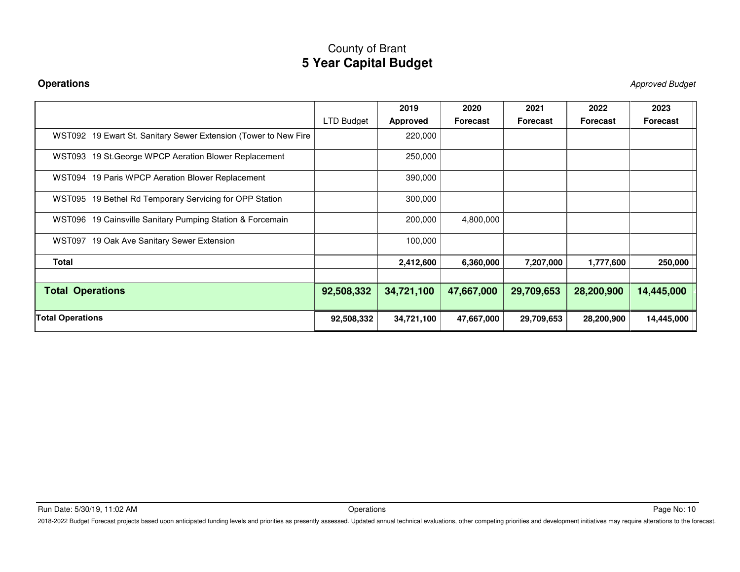**Operations** Approved Budget

|                                                                 |            | 2019            | 2020       | 2021       | 2022            | 2023            |
|-----------------------------------------------------------------|------------|-----------------|------------|------------|-----------------|-----------------|
|                                                                 | LTD Budget | <b>Approved</b> | Forecast   | Forecast   | <b>Forecast</b> | <b>Forecast</b> |
| WST092 19 Ewart St. Sanitary Sewer Extension (Tower to New Fire |            | 220,000         |            |            |                 |                 |
| WST093 19 St. George WPCP Aeration Blower Replacement           |            | 250,000         |            |            |                 |                 |
| WST094 19 Paris WPCP Aeration Blower Replacement                |            | 390,000         |            |            |                 |                 |
| WST095 19 Bethel Rd Temporary Servicing for OPP Station         |            | 300,000         |            |            |                 |                 |
| WST096 19 Cainsville Sanitary Pumping Station & Forcemain       |            | 200,000         | 4,800,000  |            |                 |                 |
| WST097 19 Oak Ave Sanitary Sewer Extension                      |            | 100,000         |            |            |                 |                 |
| <b>Total</b>                                                    |            | 2,412,600       | 6,360,000  | 7,207,000  | 1,777,600       | 250,000         |
|                                                                 |            |                 |            |            |                 |                 |
| <b>Total Operations</b>                                         | 92,508,332 | 34,721,100      | 47,667,000 | 29,709,653 | 28,200,900      | 14,445,000      |
| <b>Total Operations</b>                                         | 92,508,332 | 34,721,100      | 47,667,000 | 29,709,653 | 28,200,900      | 14,445,000      |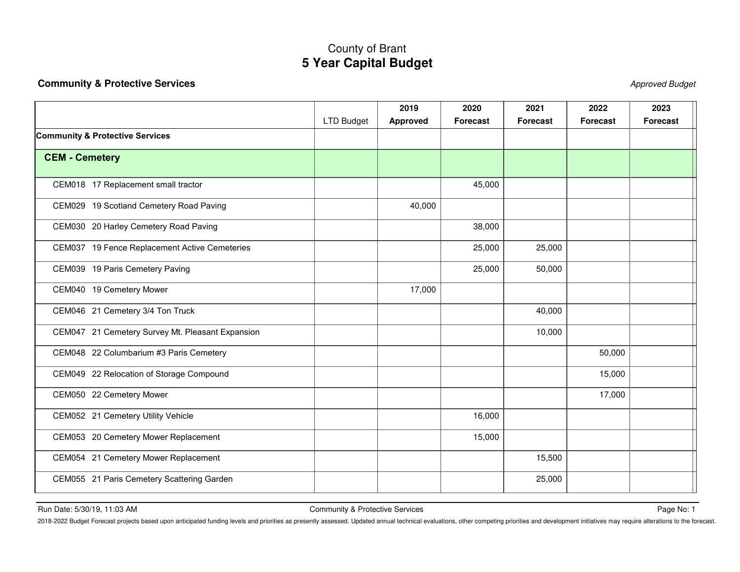### <span id="page-15-0"></span>**Community & Protective Services** Approved Budget

|                                                  |                   | 2019            | 2020     | 2021            | 2022            | 2023            |
|--------------------------------------------------|-------------------|-----------------|----------|-----------------|-----------------|-----------------|
|                                                  | <b>LTD Budget</b> | <b>Approved</b> | Forecast | <b>Forecast</b> | <b>Forecast</b> | <b>Forecast</b> |
| <b>Community &amp; Protective Services</b>       |                   |                 |          |                 |                 |                 |
| <b>CEM - Cemetery</b>                            |                   |                 |          |                 |                 |                 |
| CEM018 17 Replacement small tractor              |                   |                 | 45,000   |                 |                 |                 |
| CEM029 19 Scotland Cemetery Road Paving          |                   | 40,000          |          |                 |                 |                 |
| CEM030 20 Harley Cemetery Road Paving            |                   |                 | 38,000   |                 |                 |                 |
| CEM037 19 Fence Replacement Active Cemeteries    |                   |                 | 25,000   | 25,000          |                 |                 |
| CEM039 19 Paris Cemetery Paving                  |                   |                 | 25,000   | 50,000          |                 |                 |
| CEM040 19 Cemetery Mower                         |                   | 17,000          |          |                 |                 |                 |
| CEM046 21 Cemetery 3/4 Ton Truck                 |                   |                 |          | 40,000          |                 |                 |
| CEM047 21 Cemetery Survey Mt. Pleasant Expansion |                   |                 |          | 10,000          |                 |                 |
| CEM048 22 Columbarium #3 Paris Cemetery          |                   |                 |          |                 | 50,000          |                 |
| CEM049 22 Relocation of Storage Compound         |                   |                 |          |                 | 15,000          |                 |
| CEM050 22 Cemetery Mower                         |                   |                 |          |                 | 17,000          |                 |
| CEM052 21 Cemetery Utility Vehicle               |                   |                 | 16,000   |                 |                 |                 |
| CEM053 20 Cemetery Mower Replacement             |                   |                 | 15,000   |                 |                 |                 |
| CEM054 21 Cemetery Mower Replacement             |                   |                 |          | 15,500          |                 |                 |
| CEM055 21 Paris Cemetery Scattering Garden       |                   |                 |          | 25,000          |                 |                 |

Run Date: 5/30/19, 11:03 AM Page No: 1 Community & Protective Services Page No: 1 2014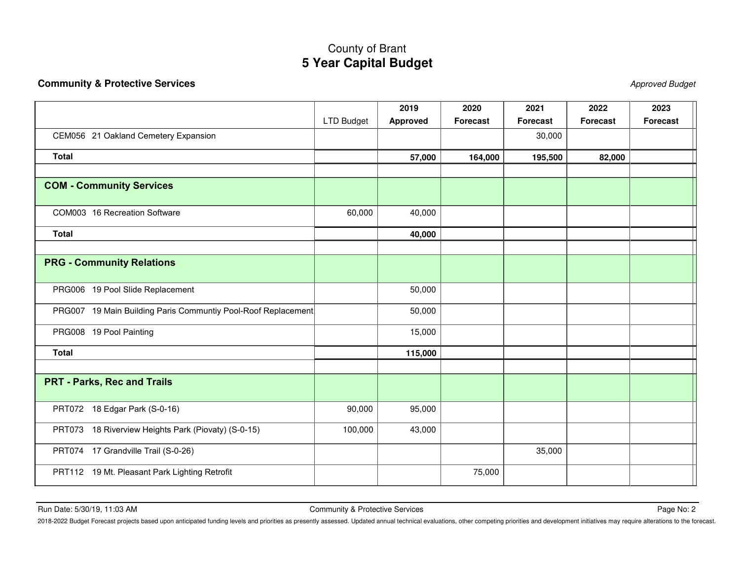### **Community & Protective Services** Approved Budget

|                                                               | LTD Budget | 2019            | 2020<br><b>Forecast</b> | 2021<br><b>Forecast</b> | 2022<br><b>Forecast</b> | 2023<br><b>Forecast</b> |
|---------------------------------------------------------------|------------|-----------------|-------------------------|-------------------------|-------------------------|-------------------------|
|                                                               |            | <b>Approved</b> |                         |                         |                         |                         |
| CEM056 21 Oakland Cemetery Expansion                          |            |                 |                         | 30,000                  |                         |                         |
| <b>Total</b>                                                  |            | 57,000          | 164,000                 | 195,500                 | 82,000                  |                         |
|                                                               |            |                 |                         |                         |                         |                         |
| <b>COM - Community Services</b>                               |            |                 |                         |                         |                         |                         |
| COM003 16 Recreation Software                                 | 60,000     | 40,000          |                         |                         |                         |                         |
| <b>Total</b>                                                  |            | 40,000          |                         |                         |                         |                         |
|                                                               |            |                 |                         |                         |                         |                         |
| <b>PRG - Community Relations</b>                              |            |                 |                         |                         |                         |                         |
| PRG006 19 Pool Slide Replacement                              |            | 50,000          |                         |                         |                         |                         |
| PRG007 19 Main Building Paris Communtiy Pool-Roof Replacement |            | 50,000          |                         |                         |                         |                         |
| PRG008 19 Pool Painting                                       |            | 15,000          |                         |                         |                         |                         |
| <b>Total</b>                                                  |            | 115,000         |                         |                         |                         |                         |
|                                                               |            |                 |                         |                         |                         |                         |
| <b>PRT - Parks, Rec and Trails</b>                            |            |                 |                         |                         |                         |                         |
| PRT072 18 Edgar Park (S-0-16)                                 | 90,000     | 95,000          |                         |                         |                         |                         |
| PRT073 18 Riverview Heights Park (Piovaty) (S-0-15)           | 100,000    | 43,000          |                         |                         |                         |                         |
| PRT074 17 Grandville Trail (S-0-26)                           |            |                 |                         | 35,000                  |                         |                         |
| PRT112 19 Mt. Pleasant Park Lighting Retrofit                 |            |                 | 75,000                  |                         |                         |                         |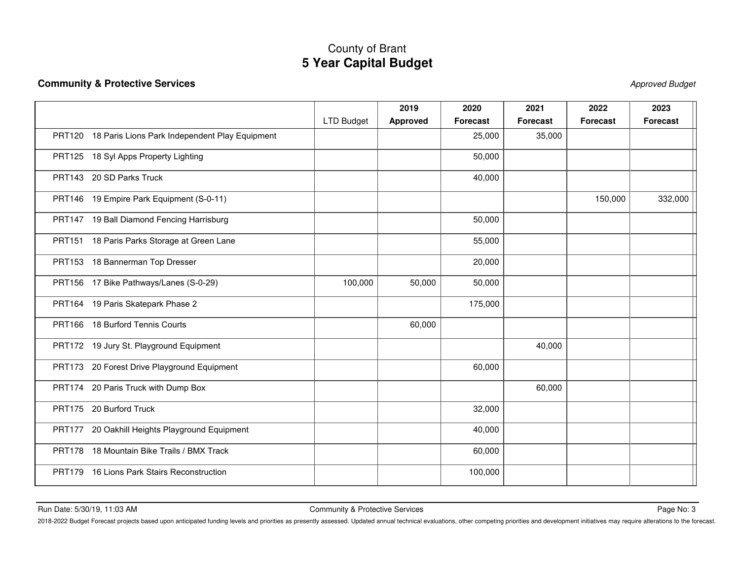### **Community & Protective Services** Approved Budget

|                                                          |                   | 2019            | 2020            | 2021            | 2022            | 2023            |
|----------------------------------------------------------|-------------------|-----------------|-----------------|-----------------|-----------------|-----------------|
|                                                          | <b>LTD Budget</b> | <b>Approved</b> | <b>Forecast</b> | <b>Forecast</b> | <b>Forecast</b> | <b>Forecast</b> |
| PRT120 18 Paris Lions Park Independent Play Equipment    |                   |                 | 25,000          | 35,000          |                 |                 |
| PRT125 18 Syl Apps Property Lighting                     |                   |                 | 50,000          |                 |                 |                 |
| PRT143 20 SD Parks Truck                                 |                   |                 | 40,000          |                 |                 |                 |
| PRT146 19 Empire Park Equipment (S-0-11)                 |                   |                 |                 |                 | 150,000         | 332,000         |
| PRT147 19 Ball Diamond Fencing Harrisburg                |                   |                 | 50,000          |                 |                 |                 |
| PRT151 18 Paris Parks Storage at Green Lane              |                   |                 | 55,000          |                 |                 |                 |
| PRT153 18 Bannerman Top Dresser                          |                   |                 | 20,000          |                 |                 |                 |
| PRT156 17 Bike Pathways/Lanes (S-0-29)                   | 100,000           | 50,000          | 50,000          |                 |                 |                 |
| PRT164 19 Paris Skatepark Phase 2                        |                   |                 | 175,000         |                 |                 |                 |
| PRT166 18 Burford Tennis Courts                          |                   | 60,000          |                 |                 |                 |                 |
| PRT172 19 Jury St. Playground Equipment                  |                   |                 |                 | 40,000          |                 |                 |
| PRT173 20 Forest Drive Playground Equipment              |                   |                 | 60,000          |                 |                 |                 |
| PRT174 20 Paris Truck with Dump Box                      |                   |                 |                 | 60,000          |                 |                 |
| PRT175 20 Burford Truck                                  |                   |                 | 32,000          |                 |                 |                 |
| 20 Oakhill Heights Playground Equipment<br><b>PRT177</b> |                   |                 | 40,000          |                 |                 |                 |
| PRT178 18 Mountain Bike Trails / BMX Track               |                   |                 | 60,000          |                 |                 |                 |
| PRT179 16 Lions Park Stairs Reconstruction               |                   |                 | 100,000         |                 |                 |                 |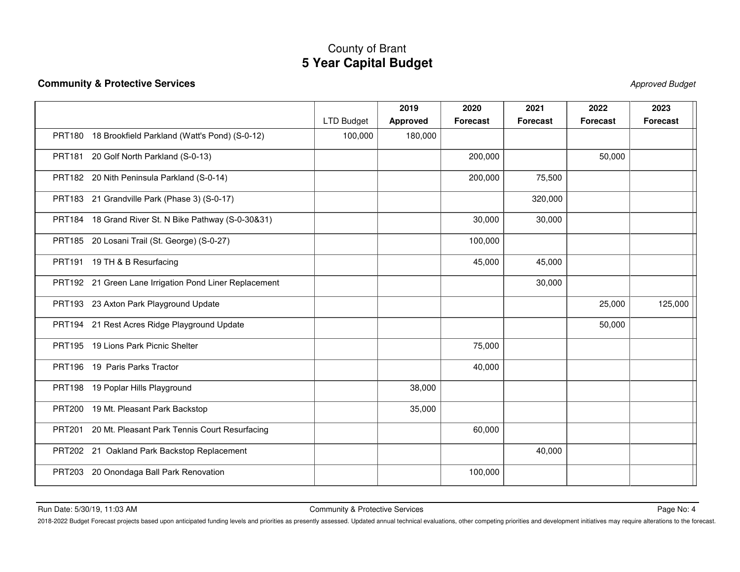### **Community & Protective Services** Approved Budget

|                                                        |                   | 2019            | 2020            | 2021            | 2022            | 2023            |
|--------------------------------------------------------|-------------------|-----------------|-----------------|-----------------|-----------------|-----------------|
|                                                        | <b>LTD Budget</b> | <b>Approved</b> | <b>Forecast</b> | <b>Forecast</b> | <b>Forecast</b> | <b>Forecast</b> |
| PRT180 18 Brookfield Parkland (Watt's Pond) (S-0-12)   | 100,000           | 180,000         |                 |                 |                 |                 |
| PRT181 20 Golf North Parkland (S-0-13)                 |                   |                 | 200,000         |                 | 50,000          |                 |
| PRT182 20 Nith Peninsula Parkland (S-0-14)             |                   |                 | 200,000         | 75,500          |                 |                 |
| PRT183 21 Grandville Park (Phase 3) (S-0-17)           |                   |                 |                 | 320,000         |                 |                 |
| PRT184 18 Grand River St. N Bike Pathway (S-0-30&31)   |                   |                 | 30,000          | 30,000          |                 |                 |
| PRT185 20 Losani Trail (St. George) (S-0-27)           |                   |                 | 100,000         |                 |                 |                 |
| PRT191 19 TH & B Resurfacing                           |                   |                 | 45,000          | 45,000          |                 |                 |
| PRT192 21 Green Lane Irrigation Pond Liner Replacement |                   |                 |                 | 30,000          |                 |                 |
| PRT193 23 Axton Park Playground Update                 |                   |                 |                 |                 | 25,000          | 125,000         |
| PRT194 21 Rest Acres Ridge Playground Update           |                   |                 |                 |                 | 50,000          |                 |
| PRT195 19 Lions Park Picnic Shelter                    |                   |                 | 75,000          |                 |                 |                 |
| PRT196 19 Paris Parks Tractor                          |                   |                 | 40,000          |                 |                 |                 |
| PRT198 19 Poplar Hills Playground                      |                   | 38,000          |                 |                 |                 |                 |
| PRT200 19 Mt. Pleasant Park Backstop                   |                   | 35,000          |                 |                 |                 |                 |
| PRT201 20 Mt. Pleasant Park Tennis Court Resurfacing   |                   |                 | 60,000          |                 |                 |                 |
| PRT202 21 Oakland Park Backstop Replacement            |                   |                 |                 | 40,000          |                 |                 |
| 20 Onondaga Ball Park Renovation<br><b>PRT203</b>      |                   |                 | 100,000         |                 |                 |                 |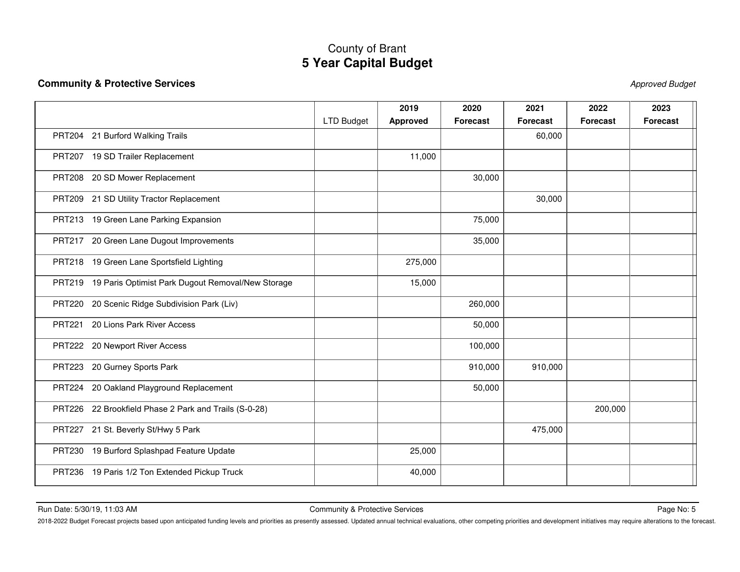### **Community & Protective Services** Approved Budget

|                                                          |                   | 2019            | 2020            | 2021            | 2022            | 2023            |
|----------------------------------------------------------|-------------------|-----------------|-----------------|-----------------|-----------------|-----------------|
|                                                          | <b>LTD Budget</b> | <b>Approved</b> | <b>Forecast</b> | <b>Forecast</b> | <b>Forecast</b> | <b>Forecast</b> |
| PRT204 21 Burford Walking Trails                         |                   |                 |                 | 60,000          |                 |                 |
| PRT207 19 SD Trailer Replacement                         |                   | 11,000          |                 |                 |                 |                 |
| PRT208 20 SD Mower Replacement                           |                   |                 | 30,000          |                 |                 |                 |
| PRT209 21 SD Utility Tractor Replacement                 |                   |                 |                 | 30,000          |                 |                 |
| PRT213 19 Green Lane Parking Expansion                   |                   |                 | 75,000          |                 |                 |                 |
| PRT217 20 Green Lane Dugout Improvements                 |                   |                 | 35,000          |                 |                 |                 |
| PRT218 19 Green Lane Sportsfield Lighting                |                   | 275,000         |                 |                 |                 |                 |
| PRT219 19 Paris Optimist Park Dugout Removal/New Storage |                   | 15,000          |                 |                 |                 |                 |
| PRT220 20 Scenic Ridge Subdivision Park (Liv)            |                   |                 | 260,000         |                 |                 |                 |
| 20 Lions Park River Access<br><b>PRT221</b>              |                   |                 | 50,000          |                 |                 |                 |
| PRT222 20 Newport River Access                           |                   |                 | 100,000         |                 |                 |                 |
| 20 Gurney Sports Park<br><b>PRT223</b>                   |                   |                 | 910,000         | 910,000         |                 |                 |
| 20 Oakland Playground Replacement<br><b>PRT224</b>       |                   |                 | 50,000          |                 |                 |                 |
| PRT226 22 Brookfield Phase 2 Park and Trails (S-0-28)    |                   |                 |                 |                 | 200,000         |                 |
| PRT227 21 St. Beverly St/Hwy 5 Park                      |                   |                 |                 | 475,000         |                 |                 |
| PRT230 19 Burford Splashpad Feature Update               |                   | 25,000          |                 |                 |                 |                 |
| PRT236 19 Paris 1/2 Ton Extended Pickup Truck            |                   | 40,000          |                 |                 |                 |                 |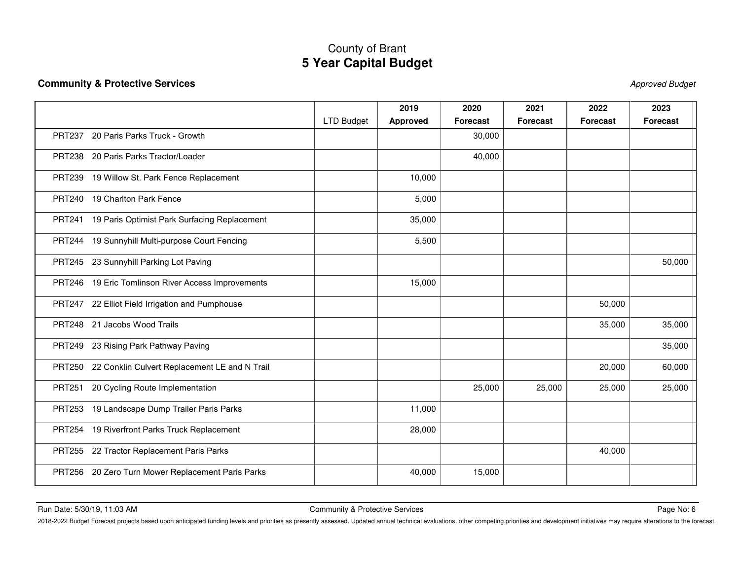### **Community & Protective Services** Approved Budget

|                                                               |                   | 2019            | 2020            | 2021            | 2022            | 2023            |
|---------------------------------------------------------------|-------------------|-----------------|-----------------|-----------------|-----------------|-----------------|
|                                                               | <b>LTD Budget</b> | <b>Approved</b> | <b>Forecast</b> | <b>Forecast</b> | <b>Forecast</b> | <b>Forecast</b> |
| 20 Paris Parks Truck - Growth<br><b>PRT237</b>                |                   |                 | 30,000          |                 |                 |                 |
| PRT238 20 Paris Parks Tractor/Loader                          |                   |                 | 40,000          |                 |                 |                 |
| PRT239 19 Willow St. Park Fence Replacement                   |                   | 10,000          |                 |                 |                 |                 |
| PRT240 19 Charlton Park Fence                                 |                   | 5,000           |                 |                 |                 |                 |
| 19 Paris Optimist Park Surfacing Replacement<br><b>PRT241</b> |                   | 35,000          |                 |                 |                 |                 |
| PRT244 19 Sunnyhill Multi-purpose Court Fencing               |                   | 5,500           |                 |                 |                 |                 |
| PRT245 23 Sunnyhill Parking Lot Paving                        |                   |                 |                 |                 |                 | 50,000          |
| PRT246 19 Eric Tomlinson River Access Improvements            |                   | 15,000          |                 |                 |                 |                 |
| PRT247 22 Elliot Field Irrigation and Pumphouse               |                   |                 |                 |                 | 50,000          |                 |
| PRT248 21 Jacobs Wood Trails                                  |                   |                 |                 |                 | 35,000          | 35,000          |
| PRT249 23 Rising Park Pathway Paving                          |                   |                 |                 |                 |                 | 35,000          |
| PRT250 22 Conklin Culvert Replacement LE and N Trail          |                   |                 |                 |                 | 20,000          | 60,000          |
| 20 Cycling Route Implementation<br><b>PRT251</b>              |                   |                 | 25,000          | 25,000          | 25,000          | 25,000          |
| PRT253 19 Landscape Dump Trailer Paris Parks                  |                   | 11,000          |                 |                 |                 |                 |
| PRT254 19 Riverfront Parks Truck Replacement                  |                   | 28,000          |                 |                 |                 |                 |
| PRT255 22 Tractor Replacement Paris Parks                     |                   |                 |                 |                 | 40,000          |                 |
| PRT256 20 Zero Turn Mower Replacement Paris Parks             |                   | 40,000          | 15,000          |                 |                 |                 |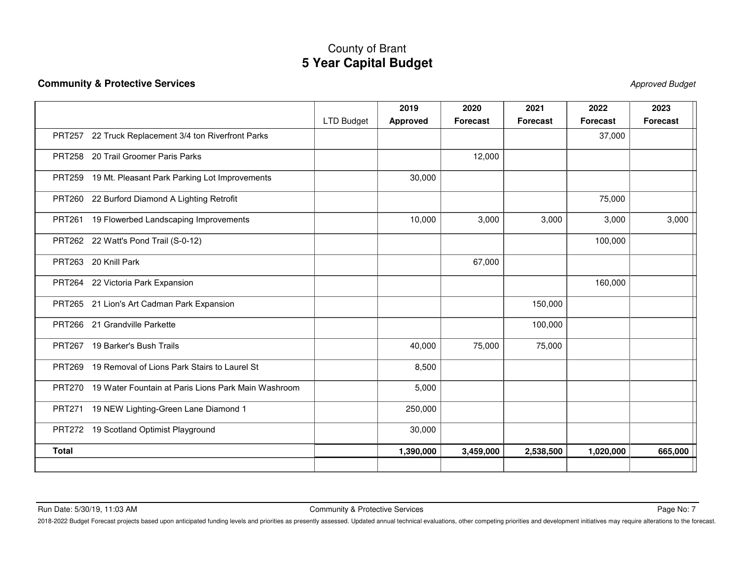### **Community & Protective Services** Approved Budget

|                                                                      |                   | 2019            | 2020            | 2021            | 2022            | 2023            |
|----------------------------------------------------------------------|-------------------|-----------------|-----------------|-----------------|-----------------|-----------------|
|                                                                      | <b>LTD Budget</b> | <b>Approved</b> | <b>Forecast</b> | <b>Forecast</b> | <b>Forecast</b> | <b>Forecast</b> |
| PRT257 22 Truck Replacement 3/4 ton Riverfront Parks                 |                   |                 |                 |                 | 37,000          |                 |
| PRT258 20 Trail Groomer Paris Parks                                  |                   |                 | 12,000          |                 |                 |                 |
| PRT259 19 Mt. Pleasant Park Parking Lot Improvements                 |                   | 30,000          |                 |                 |                 |                 |
| PRT260 22 Burford Diamond A Lighting Retrofit                        |                   |                 |                 |                 | 75,000          |                 |
| PRT261 19 Flowerbed Landscaping Improvements                         |                   | 10,000          | 3,000           | 3,000           | 3,000           | 3,000           |
| PRT262 22 Watt's Pond Trail (S-0-12)                                 |                   |                 |                 |                 | 100,000         |                 |
| PRT263 20 Knill Park                                                 |                   |                 | 67,000          |                 |                 |                 |
| PRT264 22 Victoria Park Expansion                                    |                   |                 |                 |                 | 160,000         |                 |
| PRT265 21 Lion's Art Cadman Park Expansion                           |                   |                 |                 | 150,000         |                 |                 |
| PRT266 21 Grandville Parkette                                        |                   |                 |                 | 100,000         |                 |                 |
| PRT267 19 Barker's Bush Trails                                       |                   | 40,000          | 75,000          | 75,000          |                 |                 |
| PRT269 19 Removal of Lions Park Stairs to Laurel St                  |                   | 8,500           |                 |                 |                 |                 |
| 19 Water Fountain at Paris Lions Park Main Washroom<br><b>PRT270</b> |                   | 5,000           |                 |                 |                 |                 |
| PRT271 19 NEW Lighting-Green Lane Diamond 1                          |                   | 250,000         |                 |                 |                 |                 |
| PRT272 19 Scotland Optimist Playground                               |                   | 30,000          |                 |                 |                 |                 |
| <b>Total</b>                                                         |                   | 1,390,000       | 3,459,000       | 2,538,500       | 1,020,000       | 665,000         |
|                                                                      |                   |                 |                 |                 |                 |                 |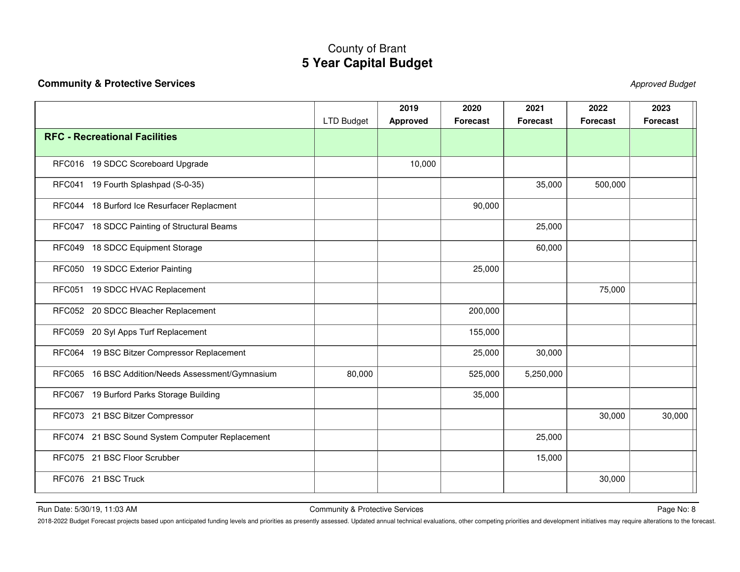### **Community & Protective Services** Approved Budget

|                                                   | <b>LTD Budget</b> | 2019<br><b>Approved</b> | 2020<br><b>Forecast</b> | 2021<br><b>Forecast</b> | 2022<br><b>Forecast</b> | 2023<br><b>Forecast</b> |
|---------------------------------------------------|-------------------|-------------------------|-------------------------|-------------------------|-------------------------|-------------------------|
| <b>RFC - Recreational Facilities</b>              |                   |                         |                         |                         |                         |                         |
| RFC016 19 SDCC Scoreboard Upgrade                 |                   | 10,000                  |                         |                         |                         |                         |
| 19 Fourth Splashpad (S-0-35)<br>RFC041            |                   |                         |                         | 35,000                  | 500,000                 |                         |
| RFC044 18 Burford Ice Resurfacer Replacment       |                   |                         | 90,000                  |                         |                         |                         |
| RFC047 18 SDCC Painting of Structural Beams       |                   |                         |                         | 25,000                  |                         |                         |
| RFC049 18 SDCC Equipment Storage                  |                   |                         |                         | 60,000                  |                         |                         |
| RFC050 19 SDCC Exterior Painting                  |                   |                         | 25,000                  |                         |                         |                         |
| RFC051 19 SDCC HVAC Replacement                   |                   |                         |                         |                         | 75,000                  |                         |
| RFC052 20 SDCC Bleacher Replacement               |                   |                         | 200,000                 |                         |                         |                         |
| RFC059 20 Syl Apps Turf Replacement               |                   |                         | 155,000                 |                         |                         |                         |
| RFC064 19 BSC Bitzer Compressor Replacement       |                   |                         | 25,000                  | 30,000                  |                         |                         |
| RFC065 16 BSC Addition/Needs Assessment/Gymnasium | 80,000            |                         | 525,000                 | 5,250,000               |                         |                         |
| RFC067 19 Burford Parks Storage Building          |                   |                         | 35,000                  |                         |                         |                         |
| RFC073 21 BSC Bitzer Compressor                   |                   |                         |                         |                         | 30,000                  | 30,000                  |
| RFC074 21 BSC Sound System Computer Replacement   |                   |                         |                         | 25,000                  |                         |                         |
| RFC075 21 BSC Floor Scrubber                      |                   |                         |                         | 15,000                  |                         |                         |
| RFC076 21 BSC Truck                               |                   |                         |                         |                         | 30,000                  |                         |

Run Date: 5/30/19, 11:03 AM Page No: 8 Community & Protective Services Page No: 8 Page No: 8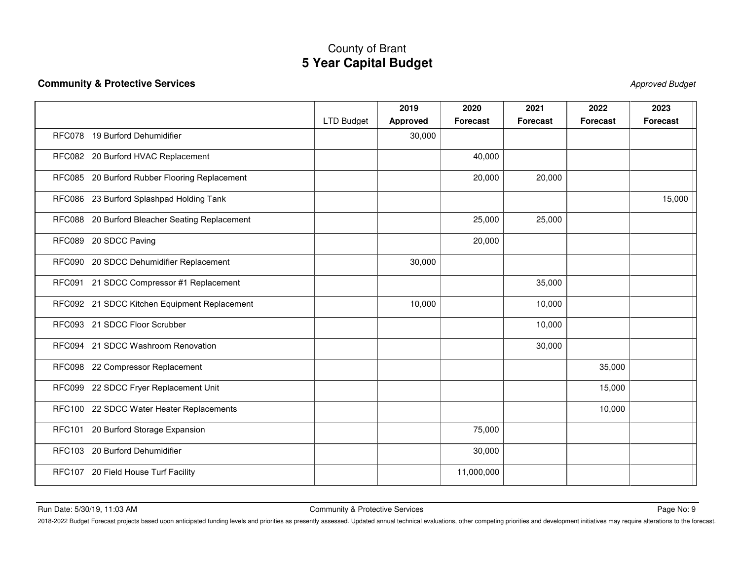### **Community & Protective Services** Approved Budget

|                                                |                   | 2019            | 2020            | 2021            | 2022            | 2023            |
|------------------------------------------------|-------------------|-----------------|-----------------|-----------------|-----------------|-----------------|
|                                                | <b>LTD Budget</b> | <b>Approved</b> | <b>Forecast</b> | <b>Forecast</b> | <b>Forecast</b> | <b>Forecast</b> |
| RFC078 19 Burford Dehumidifier                 |                   | 30,000          |                 |                 |                 |                 |
| RFC082 20 Burford HVAC Replacement             |                   |                 | 40,000          |                 |                 |                 |
| RFC085 20 Burford Rubber Flooring Replacement  |                   |                 | 20,000          | 20,000          |                 |                 |
| RFC086 23 Burford Splashpad Holding Tank       |                   |                 |                 |                 |                 | 15,000          |
| RFC088 20 Burford Bleacher Seating Replacement |                   |                 | 25,000          | 25,000          |                 |                 |
| RFC089 20 SDCC Paving                          |                   |                 | 20,000          |                 |                 |                 |
| RFC090 20 SDCC Dehumidifier Replacement        |                   | 30,000          |                 |                 |                 |                 |
| RFC091 21 SDCC Compressor #1 Replacement       |                   |                 |                 | 35,000          |                 |                 |
| RFC092 21 SDCC Kitchen Equipment Replacement   |                   | 10,000          |                 | 10,000          |                 |                 |
| RFC093 21 SDCC Floor Scrubber                  |                   |                 |                 | 10,000          |                 |                 |
| RFC094 21 SDCC Washroom Renovation             |                   |                 |                 | 30,000          |                 |                 |
| RFC098 22 Compressor Replacement               |                   |                 |                 |                 | 35,000          |                 |
| RFC099 22 SDCC Fryer Replacement Unit          |                   |                 |                 |                 | 15,000          |                 |
| RFC100 22 SDCC Water Heater Replacements       |                   |                 |                 |                 | 10,000          |                 |
| <b>RFC101</b><br>20 Burford Storage Expansion  |                   |                 | 75,000          |                 |                 |                 |
| <b>RFC103</b><br>20 Burford Dehumidifier       |                   |                 | 30,000          |                 |                 |                 |
| RFC107 20 Field House Turf Facility            |                   |                 | 11,000,000      |                 |                 |                 |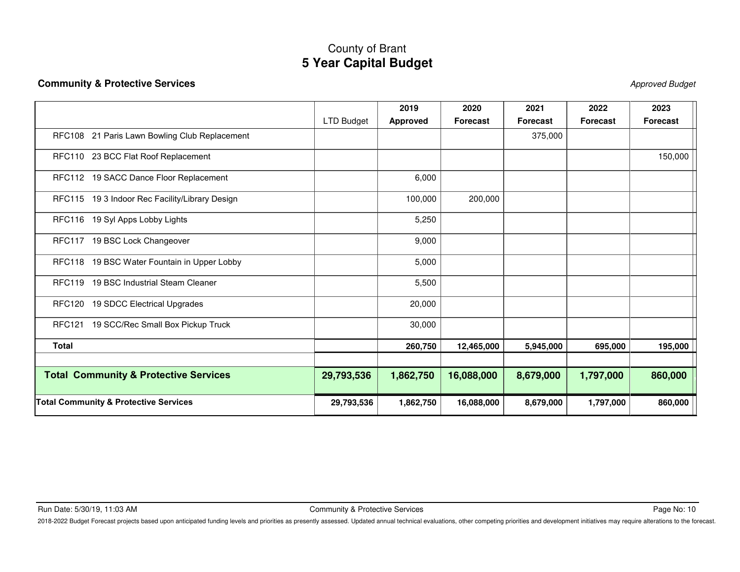### **Community & Protective Services** Approved Budget

|                                                    |            | 2019            | 2020       | 2021            | 2022            | 2023            |
|----------------------------------------------------|------------|-----------------|------------|-----------------|-----------------|-----------------|
|                                                    | LTD Budget | <b>Approved</b> | Forecast   | <b>Forecast</b> | <b>Forecast</b> | <b>Forecast</b> |
| RFC108 21 Paris Lawn Bowling Club Replacement      |            |                 |            | 375,000         |                 |                 |
| RFC110 23 BCC Flat Roof Replacement                |            |                 |            |                 |                 | 150,000         |
| RFC112 19 SACC Dance Floor Replacement             |            | 6,000           |            |                 |                 |                 |
| RFC115 19 3 Indoor Rec Facility/Library Design     |            | 100,000         | 200,000    |                 |                 |                 |
| RFC116 19 Syl Apps Lobby Lights                    |            | 5,250           |            |                 |                 |                 |
| RFC117 19 BSC Lock Changeover                      |            | 9,000           |            |                 |                 |                 |
| 19 BSC Water Fountain in Upper Lobby<br>RFC118     |            | 5,000           |            |                 |                 |                 |
| 19 BSC Industrial Steam Cleaner<br><b>RFC119</b>   |            | 5,500           |            |                 |                 |                 |
| 19 SDCC Electrical Upgrades<br>RFC120              |            | 20,000          |            |                 |                 |                 |
| 19 SCC/Rec Small Box Pickup Truck<br><b>RFC121</b> |            | 30,000          |            |                 |                 |                 |
| <b>Total</b>                                       |            | 260,750         | 12,465,000 | 5,945,000       | 695,000         | 195,000         |
| <b>Total Community &amp; Protective Services</b>   | 29,793,536 | 1,862,750       | 16,088,000 | 8,679,000       | 1,797,000       | 860,000         |
| <b>Total Community &amp; Protective Services</b>   | 29,793,536 | 1,862,750       | 16,088,000 | 8,679,000       | 1,797,000       | 860,000         |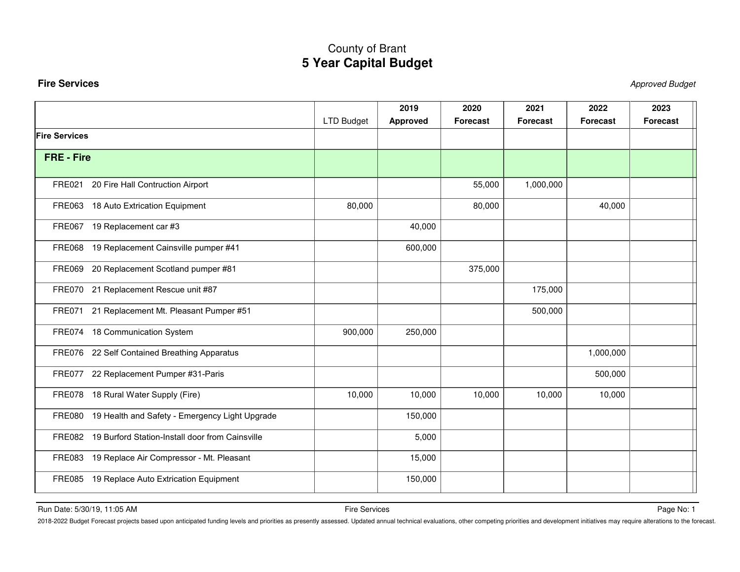### <span id="page-25-0"></span>**Fire Services** Approved Budget

|                      |                                                        | <b>LTD Budget</b> | 2019<br><b>Approved</b> | 2020<br><b>Forecast</b> | 2021<br><b>Forecast</b> | 2022<br><b>Forecast</b> | 2023<br><b>Forecast</b> |
|----------------------|--------------------------------------------------------|-------------------|-------------------------|-------------------------|-------------------------|-------------------------|-------------------------|
| <b>Fire Services</b> |                                                        |                   |                         |                         |                         |                         |                         |
|                      |                                                        |                   |                         |                         |                         |                         |                         |
| <b>FRE - Fire</b>    |                                                        |                   |                         |                         |                         |                         |                         |
|                      |                                                        |                   |                         |                         |                         |                         |                         |
| <b>FRE021</b>        | 20 Fire Hall Contruction Airport                       |                   |                         | 55,000                  | 1,000,000               |                         |                         |
|                      | FRE063 18 Auto Extrication Equipment                   | 80,000            |                         | 80,000                  |                         | 40,000                  |                         |
| <b>FRE067</b>        | 19 Replacement car #3                                  |                   | 40,000                  |                         |                         |                         |                         |
| <b>FRE068</b>        | 19 Replacement Cainsville pumper #41                   |                   | 600,000                 |                         |                         |                         |                         |
| <b>FRE069</b>        | 20 Replacement Scotland pumper #81                     |                   |                         | 375,000                 |                         |                         |                         |
|                      | FRE070 21 Replacement Rescue unit #87                  |                   |                         |                         | 175,000                 |                         |                         |
| FRE071               | 21 Replacement Mt. Pleasant Pumper #51                 |                   |                         |                         | 500,000                 |                         |                         |
|                      | FRE074 18 Communication System                         | 900,000           | 250,000                 |                         |                         |                         |                         |
|                      | FRE076 22 Self Contained Breathing Apparatus           |                   |                         |                         |                         | 1,000,000               |                         |
|                      | FRE077 22 Replacement Pumper #31-Paris                 |                   |                         |                         |                         | 500,000                 |                         |
|                      | FRE078 18 Rural Water Supply (Fire)                    | 10,000            | 10,000                  | 10,000                  | 10,000                  | 10,000                  |                         |
|                      | FRE080 19 Health and Safety - Emergency Light Upgrade  |                   | 150,000                 |                         |                         |                         |                         |
|                      | FRE082 19 Burford Station-Install door from Cainsville |                   | 5,000                   |                         |                         |                         |                         |
|                      | FRE083 19 Replace Air Compressor - Mt. Pleasant        |                   | 15,000                  |                         |                         |                         |                         |
|                      | FRE085 19 Replace Auto Extrication Equipment           |                   | 150,000                 |                         |                         |                         |                         |

Run Date: 5/30/19, 11:05 AM Page No: 1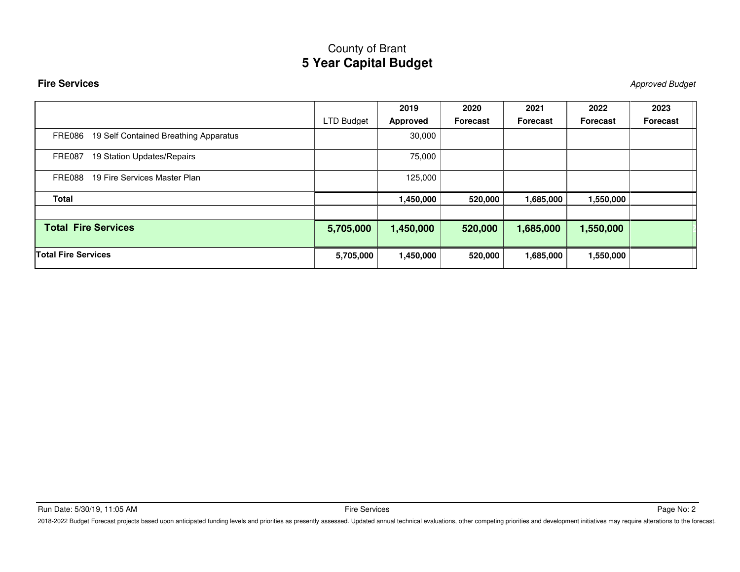### **Fire Services** Approved Budget

|                                                 |                   | 2019      | 2020            | 2021            | 2022      | 2023            |
|-------------------------------------------------|-------------------|-----------|-----------------|-----------------|-----------|-----------------|
|                                                 | <b>LTD Budget</b> | Approved  | <b>Forecast</b> | <b>Forecast</b> | Forecast  | <b>Forecast</b> |
| 19 Self Contained Breathing Apparatus<br>FRE086 |                   | 30,000    |                 |                 |           |                 |
| 19 Station Updates/Repairs<br><b>FRE087</b>     |                   | 75,000    |                 |                 |           |                 |
| 19 Fire Services Master Plan<br>FRE088          |                   | 125,000   |                 |                 |           |                 |
| <b>Total</b>                                    |                   | 1,450,000 | 520,000         | 1,685,000       | 1,550,000 |                 |
| <b>Total Fire Services</b>                      | 5,705,000         | 1,450,000 | 520,000         | 1,685,000       | 1,550,000 |                 |
| <b>Total Fire Services</b>                      | 5,705,000         | 1,450,000 | 520,000         | 1,685,000       | 1,550,000 |                 |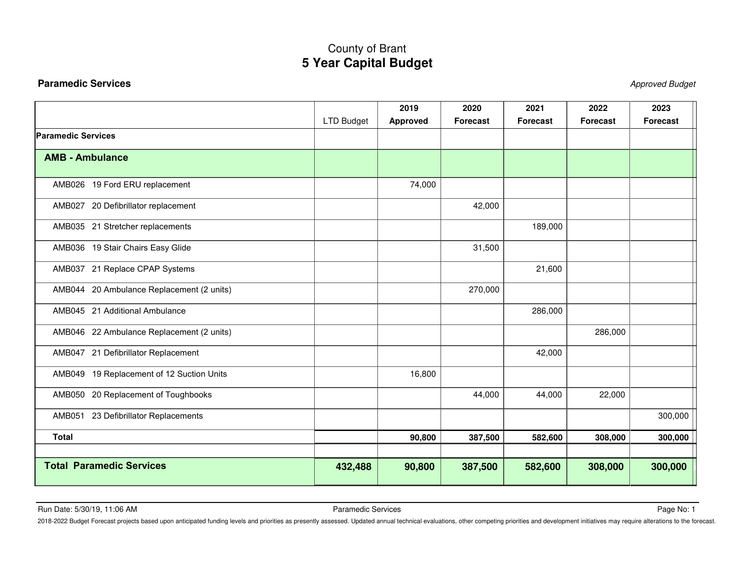### <span id="page-27-0"></span>**Paramedic Services** Approved Budget

|                                           |                   | 2019            | 2020            | 2021            | 2022            | 2023            |
|-------------------------------------------|-------------------|-----------------|-----------------|-----------------|-----------------|-----------------|
|                                           | <b>LTD Budget</b> | <b>Approved</b> | <b>Forecast</b> | <b>Forecast</b> | <b>Forecast</b> | <b>Forecast</b> |
| <b>Paramedic Services</b>                 |                   |                 |                 |                 |                 |                 |
| <b>AMB - Ambulance</b>                    |                   |                 |                 |                 |                 |                 |
| AMB026 19 Ford ERU replacement            |                   | 74,000          |                 |                 |                 |                 |
| AMB027 20 Defibrillator replacement       |                   |                 | 42,000          |                 |                 |                 |
| AMB035 21 Stretcher replacements          |                   |                 |                 | 189,000         |                 |                 |
| AMB036 19 Stair Chairs Easy Glide         |                   |                 | 31,500          |                 |                 |                 |
| AMB037 21 Replace CPAP Systems            |                   |                 |                 | 21,600          |                 |                 |
| AMB044 20 Ambulance Replacement (2 units) |                   |                 | 270,000         |                 |                 |                 |
| AMB045 21 Additional Ambulance            |                   |                 |                 | 286,000         |                 |                 |
| AMB046 22 Ambulance Replacement (2 units) |                   |                 |                 |                 | 286,000         |                 |
| AMB047 21 Defibrillator Replacement       |                   |                 |                 | 42,000          |                 |                 |
| AMB049 19 Replacement of 12 Suction Units |                   | 16,800          |                 |                 |                 |                 |
| AMB050 20 Replacement of Toughbooks       |                   |                 | 44,000          | 44,000          | 22,000          |                 |
| AMB051 23 Defibrillator Replacements      |                   |                 |                 |                 |                 | 300,000         |
| <b>Total</b>                              |                   | 90,800          | 387,500         | 582,600         | 308,000         | 300,000         |
| <b>Total Paramedic Services</b>           | 432,488           | 90,800          | 387,500         | 582,600         | 308,000         | 300,000         |

Run Date: 5/30/19, 11:06 AM Page No: 1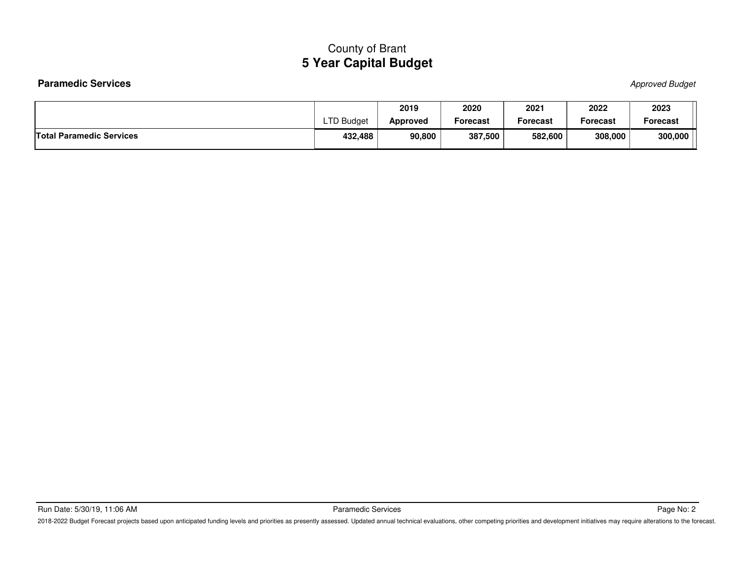### Paramedic Services **Approved Budget** Approved Budget

|                                 |           | 2019            | 2020     | 2021     | 2022     | 2023     |
|---------------------------------|-----------|-----------------|----------|----------|----------|----------|
|                                 | TD Budget | <b>Approved</b> | Forecast | Forecast | Forecast | Forecast |
| <b>Total Paramedic Services</b> | 432,488   | 90,800          | 387,500  | 582,600  | 308,000  | 300,000  |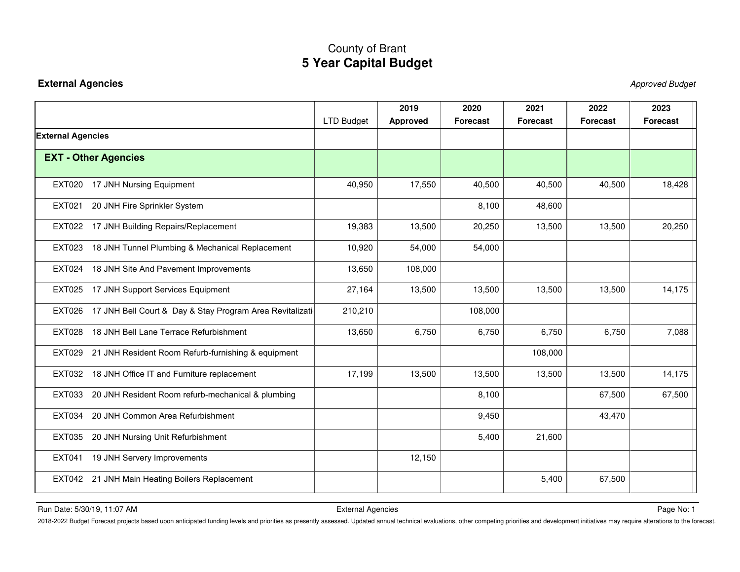### <span id="page-29-0"></span>**External Agencies** Approved Budget

|                                                                 |                   | 2019            | 2020            | 2021            | 2022            | 2023            |
|-----------------------------------------------------------------|-------------------|-----------------|-----------------|-----------------|-----------------|-----------------|
|                                                                 | <b>LTD Budget</b> | <b>Approved</b> | <b>Forecast</b> | <b>Forecast</b> | <b>Forecast</b> | <b>Forecast</b> |
| <b>External Agencies</b>                                        |                   |                 |                 |                 |                 |                 |
| <b>EXT - Other Agencies</b>                                     |                   |                 |                 |                 |                 |                 |
| <b>EXT020</b><br>17 JNH Nursing Equipment                       | 40,950            | 17,550          | 40,500          | 40,500          | 40,500          | 18,428          |
| 20 JNH Fire Sprinkler System<br><b>EXT021</b>                   |                   |                 | 8,100           | 48,600          |                 |                 |
| EXT022 17 JNH Building Repairs/Replacement                      | 19,383            | 13,500          | 20,250          | 13,500          | 13,500          | 20,250          |
| 18 JNH Tunnel Plumbing & Mechanical Replacement<br>EXT023       | 10,920            | 54,000          | 54,000          |                 |                 |                 |
| <b>EXT024</b><br>18 JNH Site And Pavement Improvements          | 13,650            | 108,000         |                 |                 |                 |                 |
| EXT025 17 JNH Support Services Equipment                        | 27,164            | 13,500          | 13,500          | 13,500          | 13,500          | 14,175          |
| EXT026 17 JNH Bell Court & Day & Stay Program Area Revitalizati | 210,210           |                 | 108,000         |                 |                 |                 |
| EXT028 18 JNH Bell Lane Terrace Refurbishment                   | 13,650            | 6,750           | 6,750           | 6,750           | 6,750           | 7,088           |
| EXT029 21 JNH Resident Room Refurb-furnishing & equipment       |                   |                 |                 | 108,000         |                 |                 |
| EXT032 18 JNH Office IT and Furniture replacement               | 17,199            | 13,500          | 13,500          | 13,500          | 13,500          | 14,175          |
| EXT033<br>20 JNH Resident Room refurb-mechanical & plumbing     |                   |                 | 8,100           |                 | 67,500          | 67,500          |
| EXT034<br>20 JNH Common Area Refurbishment                      |                   |                 | 9,450           |                 | 43,470          |                 |
| EXT035 20 JNH Nursing Unit Refurbishment                        |                   |                 | 5,400           | 21,600          |                 |                 |
| 19 JNH Servery Improvements<br><b>EXT041</b>                    |                   | 12,150          |                 |                 |                 |                 |
| EXT042 21 JNH Main Heating Boilers Replacement                  |                   |                 |                 | 5,400           | 67,500          |                 |

Run Date: 5/30/19, 11:07 AM Page No: 1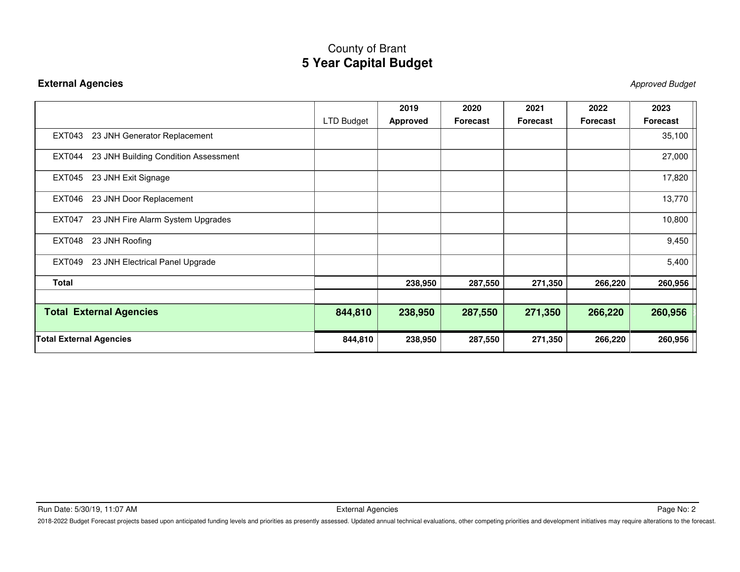### **External Agencies** Approved Budget

|                                                  |            | 2019     | 2020            | 2021            | 2022     | 2023     |
|--------------------------------------------------|------------|----------|-----------------|-----------------|----------|----------|
|                                                  | LTD Budget | Approved | <b>Forecast</b> | <b>Forecast</b> | Forecast | Forecast |
| 23 JNH Generator Replacement<br>EXT043           |            |          |                 |                 |          | 35,100   |
| 23 JNH Building Condition Assessment<br>EXT044   |            |          |                 |                 |          | 27,000   |
| <b>EXT045</b><br>23 JNH Exit Signage             |            |          |                 |                 |          | 17,820   |
| 23 JNH Door Replacement<br><b>EXT046</b>         |            |          |                 |                 |          | 13,770   |
| 23 JNH Fire Alarm System Upgrades<br>EXT047      |            |          |                 |                 |          | 10,800   |
| <b>EXT048</b><br>23 JNH Roofing                  |            |          |                 |                 |          | 9,450    |
| <b>EXT049</b><br>23 JNH Electrical Panel Upgrade |            |          |                 |                 |          | 5,400    |
| <b>Total</b>                                     |            | 238,950  | 287,550         | 271,350         | 266,220  | 260,956  |
|                                                  |            |          |                 |                 |          |          |
| <b>Total External Agencies</b>                   | 844,810    | 238,950  | 287,550         | 271,350         | 266,220  | 260,956  |
| <b>Total External Agencies</b>                   | 844,810    | 238,950  | 287,550         | 271,350         | 266,220  | 260,956  |